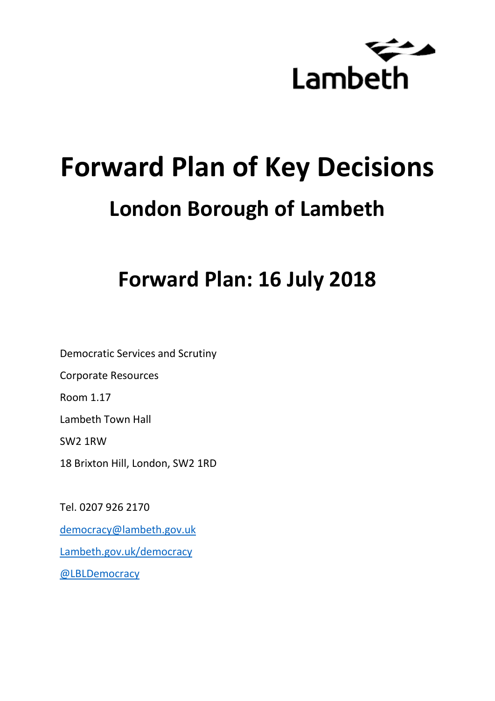

# **Forward Plan of Key Decisions London Borough of Lambeth**

## **Forward Plan: 16 July 2018**

Democratic Services and Scrutiny Corporate Resources Room 1.17 Lambeth Town Hall SW2 1RW 18 Brixton Hill, London, SW2 1RD

Tel. 0207 926 2170 [democracy@lambeth.gov.uk](mailto:democracy@lambeth.gov.uk) [Lambeth.gov.uk/democracy](https://www.lambeth.gov.uk/elections-and-council/meetings-minutes-and-agendas/getting-involved-in-decision-making-guide) [@LBLDemocracy](https://twitter.com/LBLDemocracy?lang=en)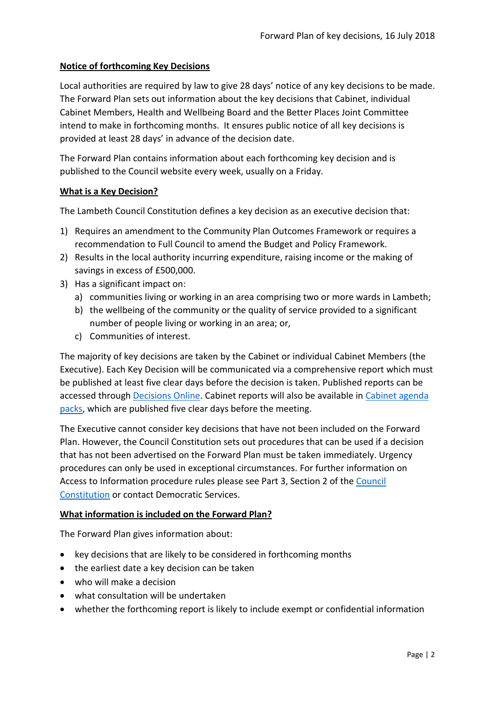#### **Notice of forthcoming Key Decisions**

Local authorities are required by law to give 28 days' notice of any key decisions to be made. The Forward Plan sets out information about the key decisions that Cabinet, individual Cabinet Members, Health and Wellbeing Board and the Better Places Joint Committee intend to make in forthcoming months. It ensures public notice of all key decisions is provided at least 28 days' in advance of the decision date.

The Forward Plan contains information about each forthcoming key decision and is published to the Council website every week, usually on a Friday.

#### **What is a Key Decision?**

The Lambeth Council Constitution defines a key decision as an executive decision that:

- 1) Requires an amendment to the Community Plan Outcomes Framework or requires a recommendation to Full Council to amend the Budget and Policy Framework.
- 2) Results in the local authority incurring expenditure, raising income or the making of savings in excess of £500,000.
- 3) Has a significant impact on:
	- a) communities living or working in an area comprising two or more wards in Lambeth;
	- b) the wellbeing of the community or the quality of service provided to a significant number of people living or working in an area; or,
	- c) Communities of interest.

The majority of key decisions are taken by the Cabinet or individual Cabinet Members (the Executive). Each Key Decision will be communicated via a comprehensive report which must be published at least five clear days before the decision is taken. Published reports can be accessed through [Decisions Online.](http://moderngov.lambeth.gov.uk/mgDelegatedDecisions.aspx?bcr=1&DM=0&DS=2&K=0&DR=&V=0) Cabinet reports will also be available in [Cabinet agenda](https://moderngov.lambeth.gov.uk/ieListMeetings.aspx?CommitteeId=225)  [packs,](https://moderngov.lambeth.gov.uk/ieListMeetings.aspx?CommitteeId=225) which are published five clear days before the meeting.

The Executive cannot consider key decisions that have not been included on the Forward Plan. However, the Council Constitution sets out procedures that can be used if a decision that has not been advertised on the Forward Plan must be taken immediately. Urgency procedures can only be used in exceptional circumstances. For further information on Access to Information procedure rules please see Part 3, Section 2 of the [Council](http://moderngov.lambeth.gov.uk/ieListMeetings.aspx?CId=738&info=1&MD=Constitution)  [Constitution](http://moderngov.lambeth.gov.uk/ieListMeetings.aspx?CId=738&info=1&MD=Constitution) or contact Democratic Services.

#### **What information is included on the Forward Plan?**

The Forward Plan gives information about:

- key decisions that are likely to be considered in forthcoming months
- the earliest date a key decision can be taken
- who will make a decision
- what consultation will be undertaken
- whether the forthcoming report is likely to include exempt or confidential information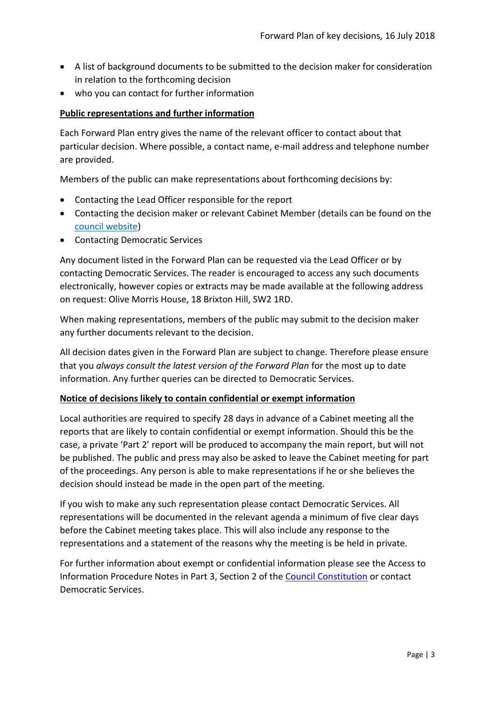- A list of background documents to be submitted to the decision maker for consideration in relation to the forthcoming decision
- who you can contact for further information

#### **Public representations and further information**

Each Forward Plan entry gives the name of the relevant officer to contact about that particular decision. Where possible, a contact name, e-mail address and telephone number are provided.

Members of the public can make representations about forthcoming decisions by:

- Contacting the Lead Officer responsible for the report
- Contacting the decision maker or relevant Cabinet Member (details can be found on the [council website\)](http://moderngov.lambeth.gov.uk/mgMemberIndex.aspx?bcr=1)
- Contacting Democratic Services

Any document listed in the Forward Plan can be requested via the Lead Officer or by contacting Democratic Services. The reader is encouraged to access any such documents electronically, however copies or extracts may be made available at the following address on request: Olive Morris House, 18 Brixton Hill, SW2 1RD.

When making representations, members of the public may submit to the decision maker any further documents relevant to the decision.

All decision dates given in the Forward Plan are subject to change. Therefore please ensure that you *always consult the latest version of the Forward Plan* for the most up to date information. Any further queries can be directed to Democratic Services.

#### **Notice of decisions likely to contain confidential or exempt information**

Local authorities are required to specify 28 days in advance of a Cabinet meeting all the reports that are likely to contain confidential or exempt information. Should this be the case, a private 'Part 2' report will be produced to accompany the main report, but will not be published. The public and press may also be asked to leave the Cabinet meeting for part of the proceedings. Any person is able to make representations if he or she believes the decision should instead be made in the open part of the meeting.

If you wish to make any such representation please contact Democratic Services. All representations will be documented in the relevant agenda a minimum of five clear days before the Cabinet meeting takes place. This will also include any response to the representations and a statement of the reasons why the meeting is be held in private.

For further information about exempt or confidential information please see the Access to Information Procedure Notes in Part 3, Section 2 of the [Council Constitution](http://www.lambeth.gov.uk/sites/default/files/ec-Council-Constitution-2014-15-approved-with-changes-November-2014.pdf) or contact Democratic Services.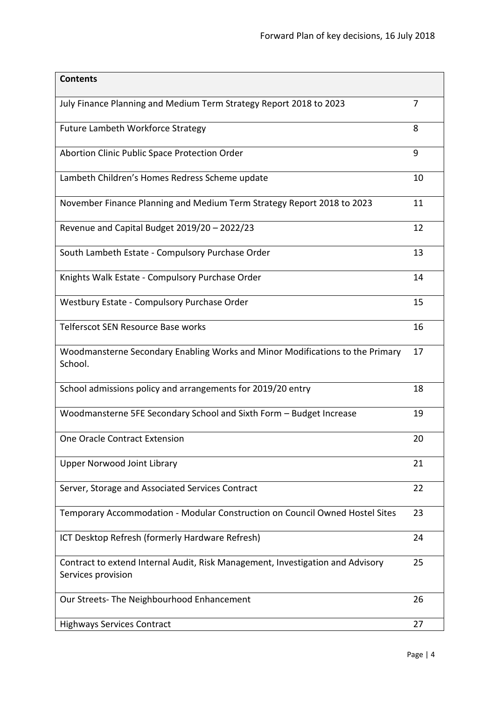| <b>Contents</b>                                                                                      |    |
|------------------------------------------------------------------------------------------------------|----|
| July Finance Planning and Medium Term Strategy Report 2018 to 2023                                   | 7  |
| Future Lambeth Workforce Strategy                                                                    | 8  |
| Abortion Clinic Public Space Protection Order                                                        | 9  |
| Lambeth Children's Homes Redress Scheme update                                                       | 10 |
| November Finance Planning and Medium Term Strategy Report 2018 to 2023                               | 11 |
| Revenue and Capital Budget 2019/20 - 2022/23                                                         | 12 |
| South Lambeth Estate - Compulsory Purchase Order                                                     | 13 |
| Knights Walk Estate - Compulsory Purchase Order                                                      | 14 |
| Westbury Estate - Compulsory Purchase Order                                                          | 15 |
| Telferscot SEN Resource Base works                                                                   | 16 |
| Woodmansterne Secondary Enabling Works and Minor Modifications to the Primary<br>School.             | 17 |
| School admissions policy and arrangements for 2019/20 entry                                          | 18 |
| Woodmansterne 5FE Secondary School and Sixth Form - Budget Increase                                  | 19 |
| One Oracle Contract Extension                                                                        | 20 |
| <b>Upper Norwood Joint Library</b>                                                                   | 21 |
| Server, Storage and Associated Services Contract                                                     | 22 |
| Temporary Accommodation - Modular Construction on Council Owned Hostel Sites                         | 23 |
| ICT Desktop Refresh (formerly Hardware Refresh)                                                      | 24 |
| Contract to extend Internal Audit, Risk Management, Investigation and Advisory<br>Services provision | 25 |
| Our Streets- The Neighbourhood Enhancement                                                           | 26 |
| <b>Highways Services Contract</b>                                                                    | 27 |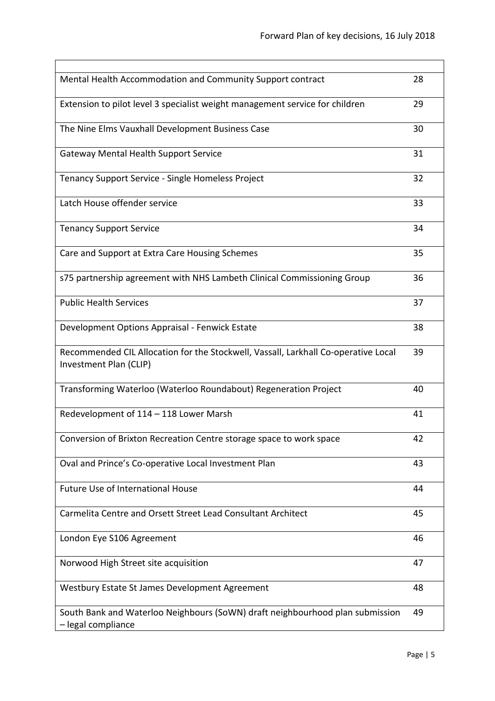| Mental Health Accommodation and Community Support contract                                                   | 28 |
|--------------------------------------------------------------------------------------------------------------|----|
| Extension to pilot level 3 specialist weight management service for children                                 | 29 |
| The Nine Elms Vauxhall Development Business Case                                                             | 30 |
| <b>Gateway Mental Health Support Service</b>                                                                 | 31 |
| Tenancy Support Service - Single Homeless Project                                                            | 32 |
| Latch House offender service                                                                                 | 33 |
| <b>Tenancy Support Service</b>                                                                               | 34 |
| Care and Support at Extra Care Housing Schemes                                                               | 35 |
| s75 partnership agreement with NHS Lambeth Clinical Commissioning Group                                      | 36 |
| <b>Public Health Services</b>                                                                                | 37 |
| Development Options Appraisal - Fenwick Estate                                                               | 38 |
| Recommended CIL Allocation for the Stockwell, Vassall, Larkhall Co-operative Local<br>Investment Plan (CLIP) | 39 |
| Transforming Waterloo (Waterloo Roundabout) Regeneration Project                                             | 40 |
| Redevelopment of 114 - 118 Lower Marsh                                                                       | 41 |
| Conversion of Brixton Recreation Centre storage space to work space                                          | 42 |
| Oval and Prince's Co-operative Local Investment Plan                                                         | 43 |
| Future Use of International House                                                                            | 44 |
| Carmelita Centre and Orsett Street Lead Consultant Architect                                                 | 45 |
| London Eye S106 Agreement                                                                                    | 46 |
| Norwood High Street site acquisition                                                                         | 47 |
| Westbury Estate St James Development Agreement                                                               | 48 |
| South Bank and Waterloo Neighbours (SoWN) draft neighbourhood plan submission<br>- legal compliance          | 49 |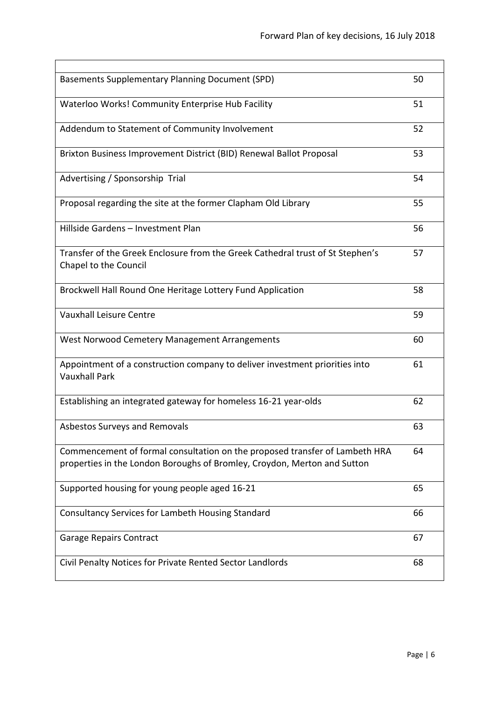| <b>Basements Supplementary Planning Document (SPD)</b>                                                                                                  | 50 |
|---------------------------------------------------------------------------------------------------------------------------------------------------------|----|
| Waterloo Works! Community Enterprise Hub Facility                                                                                                       | 51 |
| Addendum to Statement of Community Involvement                                                                                                          | 52 |
| Brixton Business Improvement District (BID) Renewal Ballot Proposal                                                                                     | 53 |
| Advertising / Sponsorship Trial                                                                                                                         | 54 |
| Proposal regarding the site at the former Clapham Old Library                                                                                           | 55 |
| Hillside Gardens - Investment Plan                                                                                                                      | 56 |
| Transfer of the Greek Enclosure from the Greek Cathedral trust of St Stephen's<br>Chapel to the Council                                                 | 57 |
| Brockwell Hall Round One Heritage Lottery Fund Application                                                                                              | 58 |
| <b>Vauxhall Leisure Centre</b>                                                                                                                          | 59 |
| West Norwood Cemetery Management Arrangements                                                                                                           | 60 |
| Appointment of a construction company to deliver investment priorities into<br><b>Vauxhall Park</b>                                                     | 61 |
| Establishing an integrated gateway for homeless 16-21 year-olds                                                                                         | 62 |
| Asbestos Surveys and Removals                                                                                                                           | 63 |
| Commencement of formal consultation on the proposed transfer of Lambeth HRA<br>properties in the London Boroughs of Bromley, Croydon, Merton and Sutton | 64 |
| Supported housing for young people aged 16-21                                                                                                           | 65 |
| Consultancy Services for Lambeth Housing Standard                                                                                                       | 66 |
| <b>Garage Repairs Contract</b>                                                                                                                          | 67 |
| Civil Penalty Notices for Private Rented Sector Landlords                                                                                               | 68 |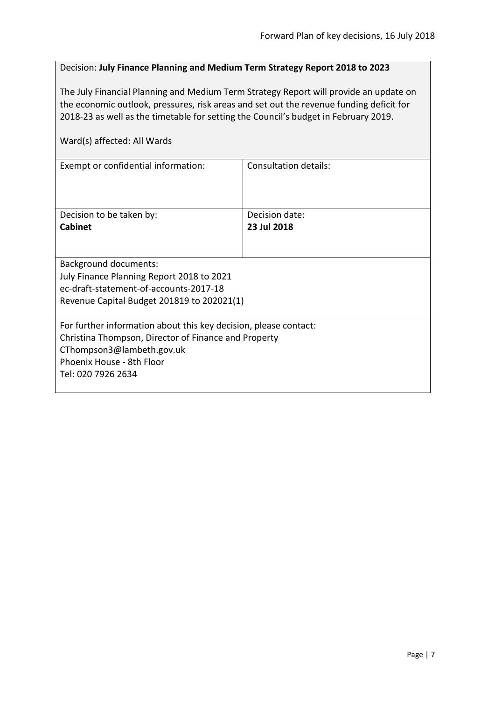#### <span id="page-6-0"></span>Decision: **July Finance Planning and Medium Term Strategy Report 2018 to 2023**

The July Financial Planning and Medium Term Strategy Report will provide an update on the economic outlook, pressures, risk areas and set out the revenue funding deficit for 2018-23 as well as the timetable for setting the Council's budget in February 2019.

| Exempt or confidential information:                              | Consultation details: |  |
|------------------------------------------------------------------|-----------------------|--|
| Decision to be taken by:                                         | Decision date:        |  |
| <b>Cabinet</b>                                                   | 23 Jul 2018           |  |
|                                                                  |                       |  |
| <b>Background documents:</b>                                     |                       |  |
| July Finance Planning Report 2018 to 2021                        |                       |  |
| ec-draft-statement-of-accounts-2017-18                           |                       |  |
| Revenue Capital Budget 201819 to 202021(1)                       |                       |  |
|                                                                  |                       |  |
| For further information about this key decision, please contact: |                       |  |
| Christina Thompson, Director of Finance and Property             |                       |  |
| CThompson3@lambeth.gov.uk                                        |                       |  |
| Phoenix House - 8th Floor                                        |                       |  |
| Tel: 020 7926 2634                                               |                       |  |
|                                                                  |                       |  |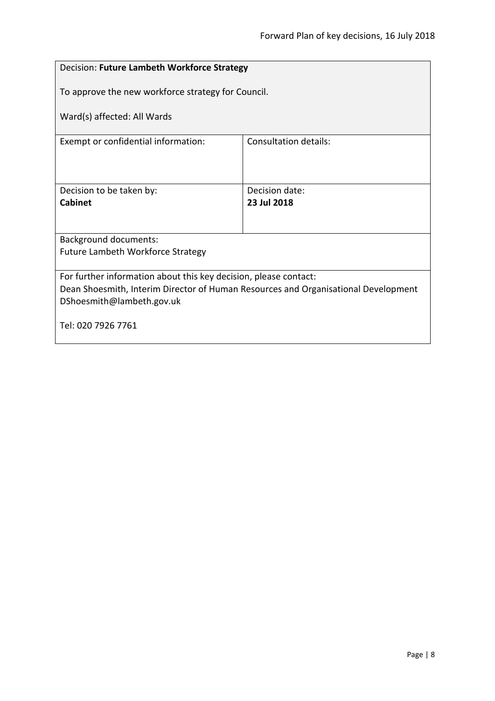### <span id="page-7-0"></span>Decision: **Future Lambeth Workforce Strategy** To approve the new workforce strategy for Council. Ward(s) affected: All Wards Exempt or confidential information: Consultation details: Decision to be taken by: **Cabinet** Decision date: **23 Jul 2018** Background documents: Future Lambeth Workforce Strategy For further information about this key decision, please contact: Dean Shoesmith, Interim Director of Human Resources and Organisational Development DShoesmith@lambeth.gov.uk Tel: 020 7926 7761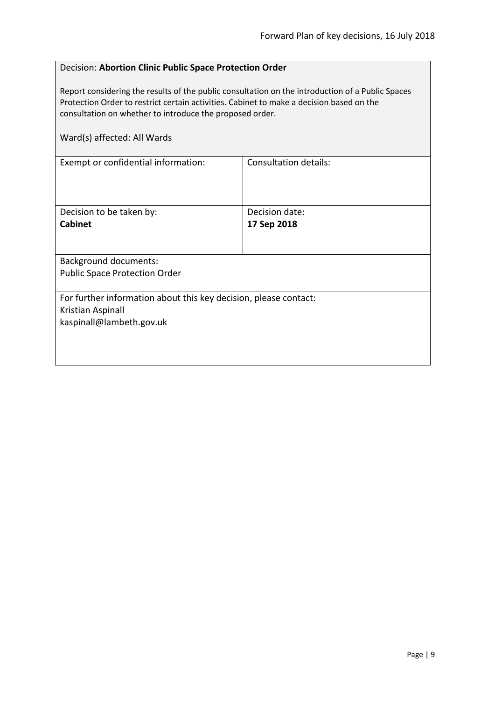#### <span id="page-8-0"></span>Decision: **Abortion Clinic Public Space Protection Order**

Report considering the results of the public consultation on the introduction of a Public Spaces Protection Order to restrict certain activities. Cabinet to make a decision based on the consultation on whether to introduce the proposed order.

| Ward(s) affected: All Wards                                                                                       |                              |
|-------------------------------------------------------------------------------------------------------------------|------------------------------|
| Exempt or confidential information:                                                                               | <b>Consultation details:</b> |
| Decision to be taken by:                                                                                          | Decision date:               |
| <b>Cabinet</b>                                                                                                    | 17 Sep 2018                  |
|                                                                                                                   |                              |
| <b>Background documents:</b>                                                                                      |                              |
| <b>Public Space Protection Order</b>                                                                              |                              |
| For further information about this key decision, please contact:<br>Kristian Aspinall<br>kaspinall@lambeth.gov.uk |                              |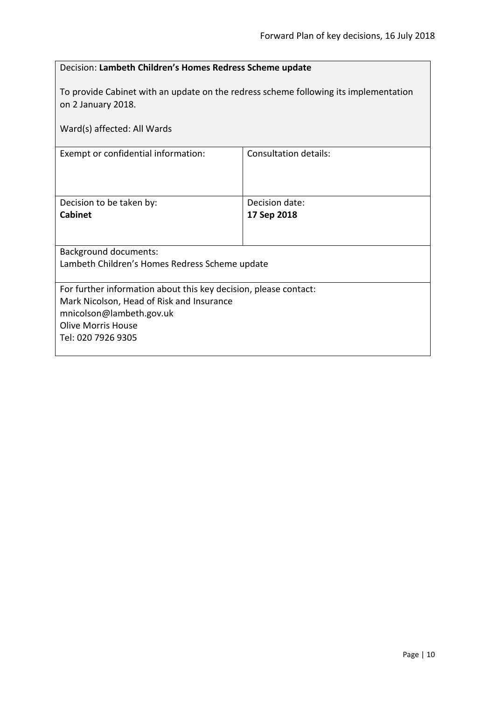<span id="page-9-0"></span>

| Decision: Lambeth Children's Homes Redress Scheme update |  |
|----------------------------------------------------------|--|
|                                                          |  |

To provide Cabinet with an update on the redress scheme following its implementation on 2 January 2018.

| Ward(s) affected: All Wards                                      |                       |  |
|------------------------------------------------------------------|-----------------------|--|
| Exempt or confidential information:                              | Consultation details: |  |
|                                                                  |                       |  |
| Decision to be taken by:                                         | Decision date:        |  |
| <b>Cabinet</b>                                                   | 17 Sep 2018           |  |
|                                                                  |                       |  |
| <b>Background documents:</b>                                     |                       |  |
| Lambeth Children's Homes Redress Scheme update                   |                       |  |
|                                                                  |                       |  |
| For further information about this key decision, please contact: |                       |  |
| Mark Nicolson, Head of Risk and Insurance                        |                       |  |
| mnicolson@lambeth.gov.uk                                         |                       |  |
| <b>Olive Morris House</b>                                        |                       |  |
| Tel: 020 7926 9305                                               |                       |  |
|                                                                  |                       |  |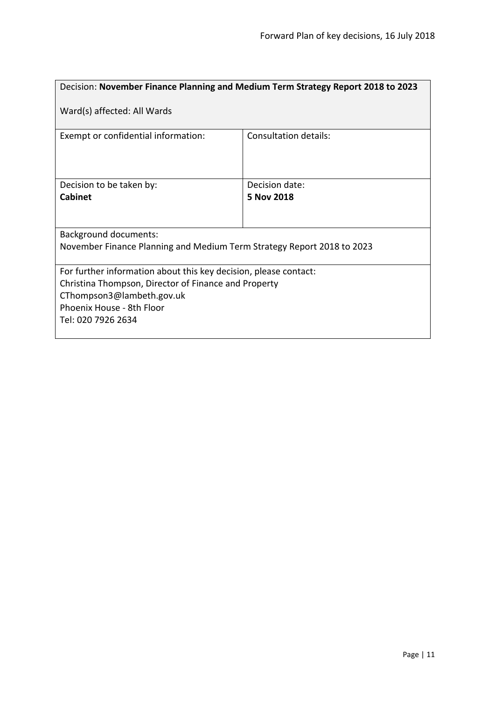<span id="page-10-0"></span>

| Decision: November Finance Planning and Medium Term Strategy Report 2018 to 2023 |                       |  |
|----------------------------------------------------------------------------------|-----------------------|--|
| Ward(s) affected: All Wards                                                      |                       |  |
| Exempt or confidential information:                                              | Consultation details: |  |
| Decision to be taken by:                                                         | Decision date:        |  |
| <b>Cabinet</b>                                                                   | 5 Nov 2018            |  |
| <b>Background documents:</b>                                                     |                       |  |
| November Finance Planning and Medium Term Strategy Report 2018 to 2023           |                       |  |
| For further information about this key decision, please contact:                 |                       |  |
| Christina Thompson, Director of Finance and Property                             |                       |  |
| CThompson3@lambeth.gov.uk                                                        |                       |  |
| Phoenix House - 8th Floor<br>Tel: 020 7926 2634                                  |                       |  |
|                                                                                  |                       |  |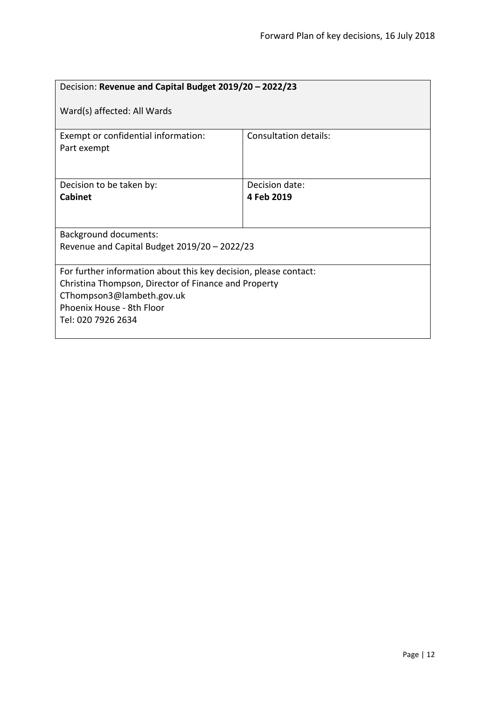<span id="page-11-0"></span>

| Decision: Revenue and Capital Budget 2019/20 - 2022/23                                                                                                                                                   |                              |  |
|----------------------------------------------------------------------------------------------------------------------------------------------------------------------------------------------------------|------------------------------|--|
| Ward(s) affected: All Wards                                                                                                                                                                              |                              |  |
| Exempt or confidential information:<br>Part exempt                                                                                                                                                       | <b>Consultation details:</b> |  |
| Decision to be taken by:<br><b>Cabinet</b>                                                                                                                                                               | Decision date:<br>4 Feb 2019 |  |
| Background documents:<br>Revenue and Capital Budget 2019/20 - 2022/23                                                                                                                                    |                              |  |
| For further information about this key decision, please contact:<br>Christina Thompson, Director of Finance and Property<br>CThompson3@lambeth.gov.uk<br>Phoenix House - 8th Floor<br>Tel: 020 7926 2634 |                              |  |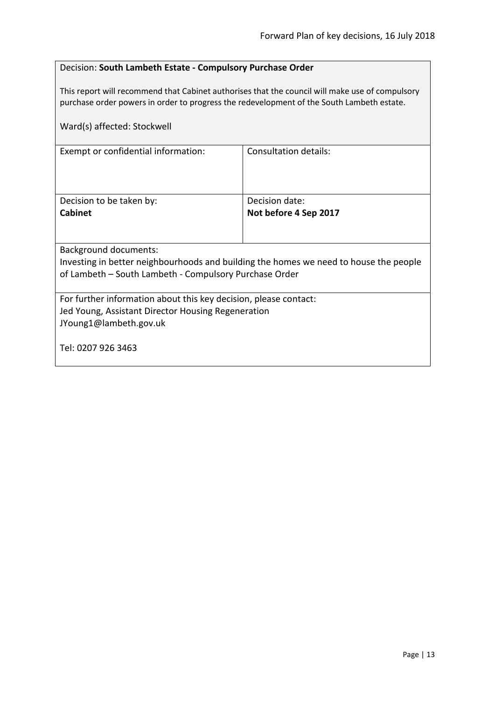#### <span id="page-12-0"></span>Decision: **South Lambeth Estate - Compulsory Purchase Order**

This report will recommend that Cabinet authorises that the council will make use of compulsory purchase order powers in order to progress the redevelopment of the South Lambeth estate.

| Ward(s) affected: Stockwell                                                           |                       |  |
|---------------------------------------------------------------------------------------|-----------------------|--|
| Exempt or confidential information:                                                   | Consultation details: |  |
| Decision to be taken by:                                                              | Decision date:        |  |
| <b>Cabinet</b>                                                                        | Not before 4 Sep 2017 |  |
|                                                                                       |                       |  |
| <b>Background documents:</b>                                                          |                       |  |
| Investing in better neighbourhoods and building the homes we need to house the people |                       |  |
| of Lambeth – South Lambeth - Compulsory Purchase Order                                |                       |  |
| For further information about this key decision, please contact:                      |                       |  |
| Jed Young, Assistant Director Housing Regeneration                                    |                       |  |
| JYoung1@lambeth.gov.uk                                                                |                       |  |
| Tel: 0207 926 3463                                                                    |                       |  |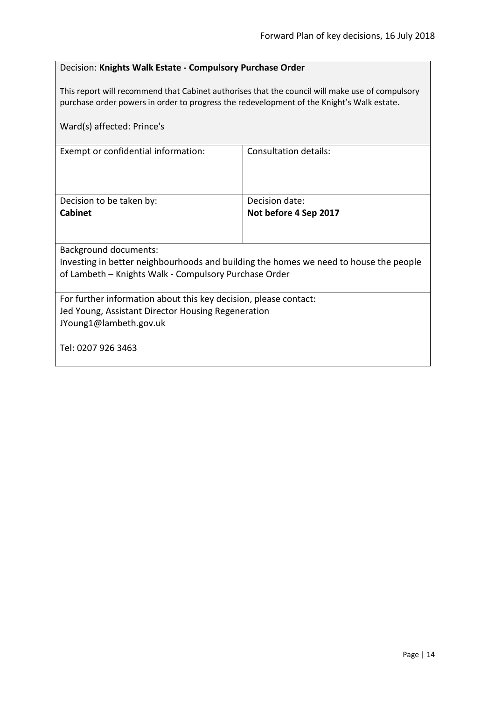#### <span id="page-13-0"></span>Decision: **Knights Walk Estate - Compulsory Purchase Order**

This report will recommend that Cabinet authorises that the council will make use of compulsory purchase order powers in order to progress the redevelopment of the Knight's Walk estate.

| Ward(s) affected: Prince's                                                            |                              |  |
|---------------------------------------------------------------------------------------|------------------------------|--|
| Exempt or confidential information:                                                   | <b>Consultation details:</b> |  |
| Decision to be taken by:                                                              | Decision date:               |  |
| <b>Cabinet</b>                                                                        | Not before 4 Sep 2017        |  |
|                                                                                       |                              |  |
| <b>Background documents:</b>                                                          |                              |  |
| Investing in better neighbourhoods and building the homes we need to house the people |                              |  |
| of Lambeth - Knights Walk - Compulsory Purchase Order                                 |                              |  |
| For further information about this key decision, please contact:                      |                              |  |
| Jed Young, Assistant Director Housing Regeneration                                    |                              |  |
| JYoung1@lambeth.gov.uk                                                                |                              |  |
| Tel: 0207 926 3463                                                                    |                              |  |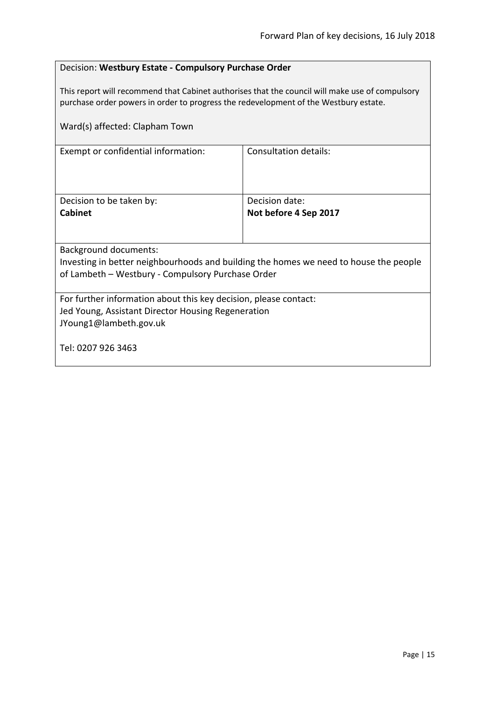#### <span id="page-14-0"></span>Decision: **Westbury Estate - Compulsory Purchase Order**

This report will recommend that Cabinet authorises that the council will make use of compulsory purchase order powers in order to progress the redevelopment of the Westbury estate.

| Ward(s) affected: Clapham Town                                                        |                       |  |
|---------------------------------------------------------------------------------------|-----------------------|--|
| Exempt or confidential information:                                                   | Consultation details: |  |
| Decision to be taken by:                                                              | Decision date:        |  |
| <b>Cabinet</b>                                                                        | Not before 4 Sep 2017 |  |
|                                                                                       |                       |  |
| <b>Background documents:</b>                                                          |                       |  |
| Investing in better neighbourhoods and building the homes we need to house the people |                       |  |
| of Lambeth - Westbury - Compulsory Purchase Order                                     |                       |  |
| For further information about this key decision, please contact:                      |                       |  |
| Jed Young, Assistant Director Housing Regeneration                                    |                       |  |
| JYoung1@lambeth.gov.uk                                                                |                       |  |
| Tel: 0207 926 3463                                                                    |                       |  |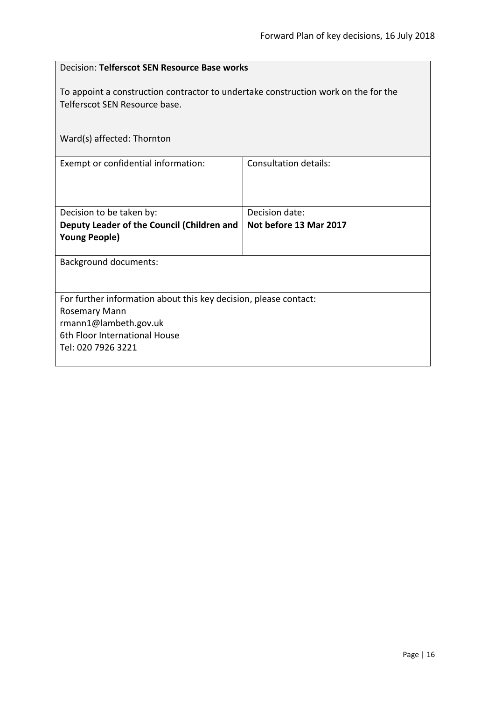<span id="page-15-0"></span>

| Decision: Telferscot SEN Resource Base works                                                                        |                        |  |
|---------------------------------------------------------------------------------------------------------------------|------------------------|--|
| To appoint a construction contractor to undertake construction work on the for the<br>Telferscot SEN Resource base. |                        |  |
| Ward(s) affected: Thornton                                                                                          |                        |  |
| Exempt or confidential information:                                                                                 | Consultation details:  |  |
| Decision to be taken by:                                                                                            | Decision date:         |  |
| Deputy Leader of the Council (Children and<br><b>Young People)</b>                                                  | Not before 13 Mar 2017 |  |
| <b>Background documents:</b>                                                                                        |                        |  |
| For further information about this key decision, please contact:                                                    |                        |  |
| Rosemary Mann                                                                                                       |                        |  |
| rmann1@lambeth.gov.uk                                                                                               |                        |  |
| 6th Floor International House                                                                                       |                        |  |
| Tel: 020 7926 3221                                                                                                  |                        |  |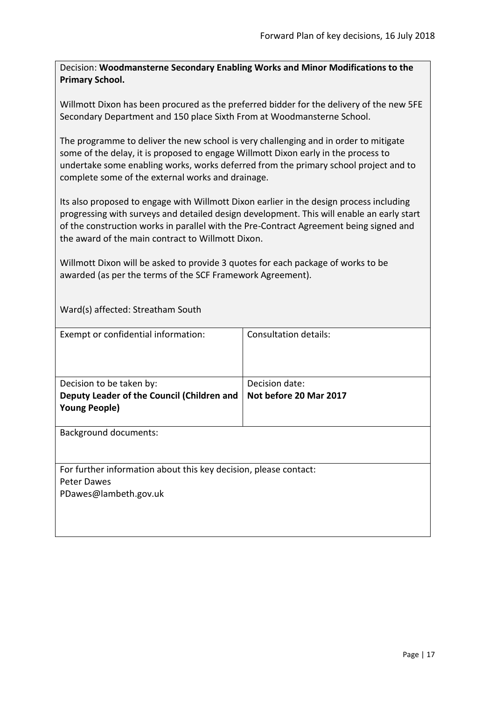<span id="page-16-0"></span>Decision: **Woodmansterne Secondary Enabling Works and Minor Modifications to the Primary School.**

Willmott Dixon has been procured as the preferred bidder for the delivery of the new 5FE Secondary Department and 150 place Sixth From at Woodmansterne School.

The programme to deliver the new school is very challenging and in order to mitigate some of the delay, it is proposed to engage Willmott Dixon early in the process to undertake some enabling works, works deferred from the primary school project and to complete some of the external works and drainage.

Its also proposed to engage with Willmott Dixon earlier in the design process including progressing with surveys and detailed design development. This will enable an early start of the construction works in parallel with the Pre-Contract Agreement being signed and the award of the main contract to Willmott Dixon.

Willmott Dixon will be asked to provide 3 quotes for each package of works to be awarded (as per the terms of the SCF Framework Agreement).

Ward(s) affected: Streatham South

| Exempt or confidential information:                              | <b>Consultation details:</b> |
|------------------------------------------------------------------|------------------------------|
|                                                                  |                              |
| Decision to be taken by:                                         | Decision date:               |
| Deputy Leader of the Council (Children and                       | Not before 20 Mar 2017       |
| <b>Young People)</b>                                             |                              |
|                                                                  |                              |
| <b>Background documents:</b>                                     |                              |
|                                                                  |                              |
|                                                                  |                              |
| For further information about this key decision, please contact: |                              |
| Peter Dawes                                                      |                              |
| PDawes@lambeth.gov.uk                                            |                              |
|                                                                  |                              |
|                                                                  |                              |
|                                                                  |                              |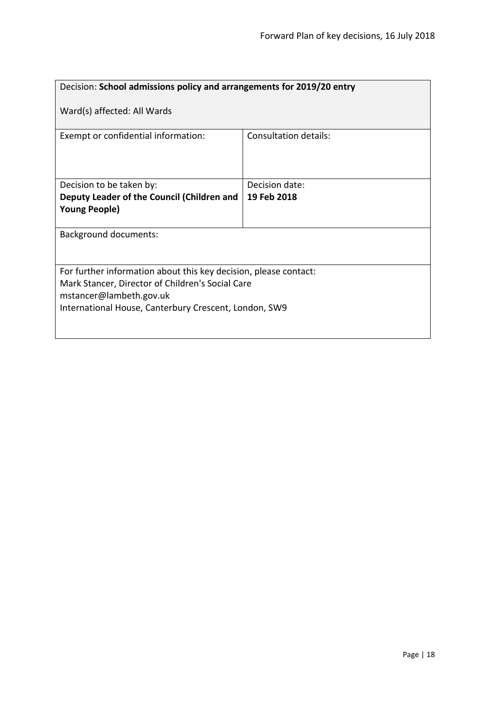<span id="page-17-0"></span>

| Decision: School admissions policy and arrangements for 2019/20 entry            |                              |  |
|----------------------------------------------------------------------------------|------------------------------|--|
| Ward(s) affected: All Wards                                                      |                              |  |
| Exempt or confidential information:                                              | <b>Consultation details:</b> |  |
| Decision to be taken by:                                                         | Decision date:               |  |
| Deputy Leader of the Council (Children and                                       | 19 Feb 2018                  |  |
| <b>Young People)</b>                                                             |                              |  |
| <b>Background documents:</b>                                                     |                              |  |
| For further information about this key decision, please contact:                 |                              |  |
| Mark Stancer, Director of Children's Social Care                                 |                              |  |
| mstancer@lambeth.gov.uk<br>International House, Canterbury Crescent, London, SW9 |                              |  |
|                                                                                  |                              |  |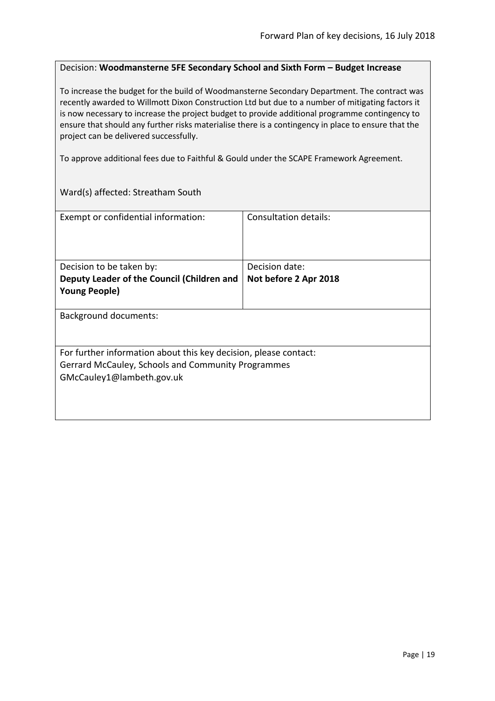#### <span id="page-18-0"></span>Decision: **Woodmansterne 5FE Secondary School and Sixth Form – Budget Increase**

To increase the budget for the build of Woodmansterne Secondary Department. The contract was recently awarded to Willmott Dixon Construction Ltd but due to a number of mitigating factors it is now necessary to increase the project budget to provide additional programme contingency to ensure that should any further risks materialise there is a contingency in place to ensure that the project can be delivered successfully.

To approve additional fees due to Faithful & Gould under the SCAPE Framework Agreement.

Ward(s) affected: Streatham South

| Exempt or confidential information:                              | Consultation details: |
|------------------------------------------------------------------|-----------------------|
| Decision to be taken by:                                         | Decision date:        |
| Deputy Leader of the Council (Children and                       | Not before 2 Apr 2018 |
| <b>Young People)</b>                                             |                       |
| Background documents:                                            |                       |
| For further information about this key decision, please contact: |                       |
| Gerrard McCauley, Schools and Community Programmes               |                       |
| GMcCauley1@lambeth.gov.uk                                        |                       |
|                                                                  |                       |
|                                                                  |                       |
|                                                                  |                       |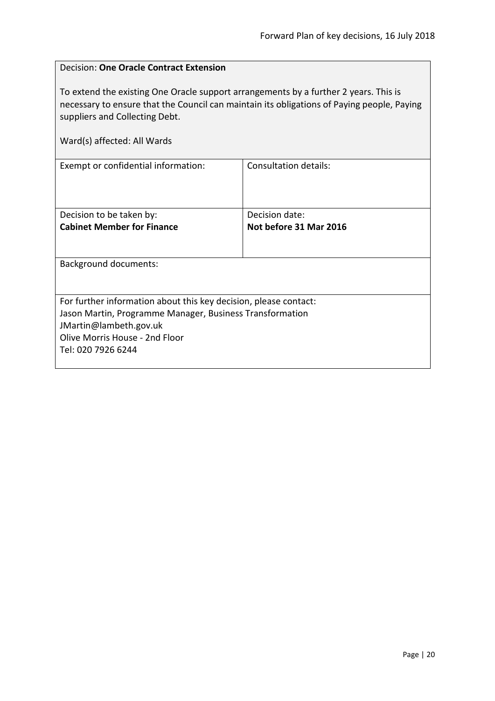$\overline{\phantom{0}}$ 

<span id="page-19-0"></span>

| <b>Decision: One Oracle Contract Extension</b>                                                                                                                                                                                                      |                              |  |
|-----------------------------------------------------------------------------------------------------------------------------------------------------------------------------------------------------------------------------------------------------|------------------------------|--|
| To extend the existing One Oracle support arrangements by a further 2 years. This is<br>necessary to ensure that the Council can maintain its obligations of Paying people, Paying<br>suppliers and Collecting Debt.<br>Ward(s) affected: All Wards |                              |  |
|                                                                                                                                                                                                                                                     |                              |  |
| Exempt or confidential information:                                                                                                                                                                                                                 | <b>Consultation details:</b> |  |
|                                                                                                                                                                                                                                                     |                              |  |
|                                                                                                                                                                                                                                                     |                              |  |
| Decision to be taken by:                                                                                                                                                                                                                            | Decision date:               |  |
| <b>Cabinet Member for Finance</b>                                                                                                                                                                                                                   | Not before 31 Mar 2016       |  |
|                                                                                                                                                                                                                                                     |                              |  |
| <b>Background documents:</b>                                                                                                                                                                                                                        |                              |  |
|                                                                                                                                                                                                                                                     |                              |  |
| For further information about this key decision, please contact:                                                                                                                                                                                    |                              |  |
| Jason Martin, Programme Manager, Business Transformation                                                                                                                                                                                            |                              |  |
| JMartin@lambeth.gov.uk                                                                                                                                                                                                                              |                              |  |
| Olive Morris House - 2nd Floor<br>Tel: 020 7926 6244                                                                                                                                                                                                |                              |  |
|                                                                                                                                                                                                                                                     |                              |  |
|                                                                                                                                                                                                                                                     |                              |  |

r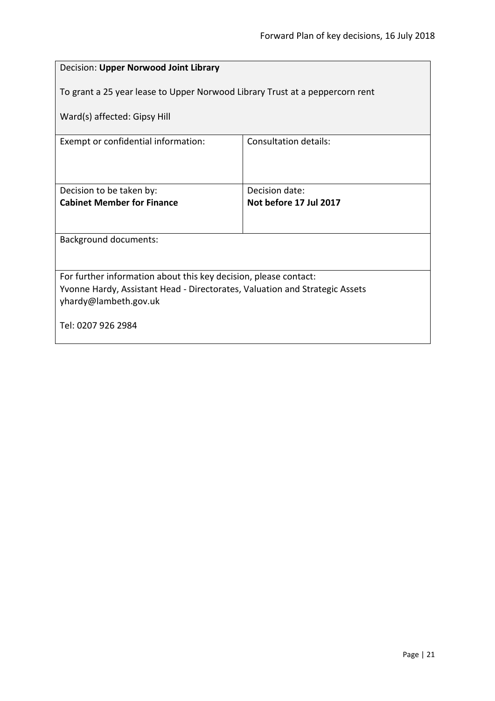<span id="page-20-0"></span>

| Decision: Upper Norwood Joint Library                                                                                                           |                                          |  |
|-------------------------------------------------------------------------------------------------------------------------------------------------|------------------------------------------|--|
| To grant a 25 year lease to Upper Norwood Library Trust at a peppercorn rent                                                                    |                                          |  |
| Ward(s) affected: Gipsy Hill                                                                                                                    |                                          |  |
| Exempt or confidential information:                                                                                                             | Consultation details:                    |  |
| Decision to be taken by:<br><b>Cabinet Member for Finance</b>                                                                                   | Decision date:<br>Not before 17 Jul 2017 |  |
|                                                                                                                                                 |                                          |  |
| <b>Background documents:</b>                                                                                                                    |                                          |  |
|                                                                                                                                                 |                                          |  |
| For further information about this key decision, please contact:<br>Yvonne Hardy, Assistant Head - Directorates, Valuation and Strategic Assets |                                          |  |
| yhardy@lambeth.gov.uk                                                                                                                           |                                          |  |
| Tel: 0207 926 2984                                                                                                                              |                                          |  |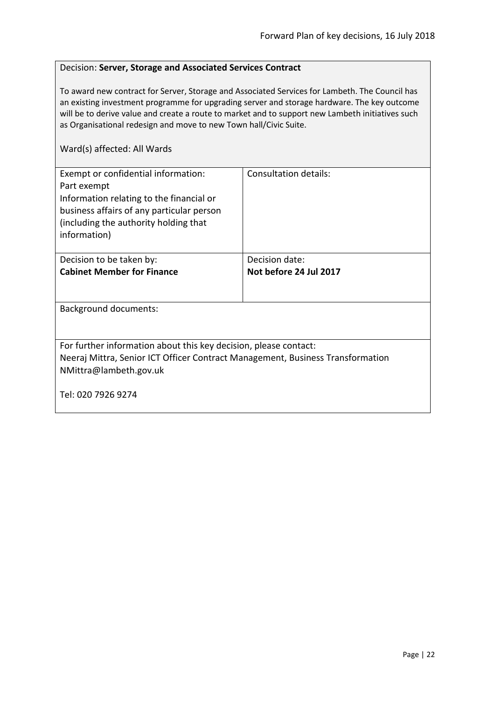#### <span id="page-21-0"></span>Decision: **Server, Storage and Associated Services Contract**

To award new contract for Server, Storage and Associated Services for Lambeth. The Council has an existing investment programme for upgrading server and storage hardware. The key outcome will be to derive value and create a route to market and to support new Lambeth initiatives such as Organisational redesign and move to new Town hall/Civic Suite.

| Exempt or confidential information:<br>Part exempt<br>Information relating to the financial or<br>business affairs of any particular person<br>(including the authority holding that<br>information) | Consultation details:  |
|------------------------------------------------------------------------------------------------------------------------------------------------------------------------------------------------------|------------------------|
| Decision to be taken by:                                                                                                                                                                             | Decision date:         |
| <b>Cabinet Member for Finance</b>                                                                                                                                                                    | Not before 24 Jul 2017 |
|                                                                                                                                                                                                      |                        |
| Background documents:                                                                                                                                                                                |                        |
|                                                                                                                                                                                                      |                        |
| For further information about this key decision, please contact:                                                                                                                                     |                        |
| Neeraj Mittra, Senior ICT Officer Contract Management, Business Transformation                                                                                                                       |                        |
| NMittra@lambeth.gov.uk                                                                                                                                                                               |                        |
| Tel: 020 7926 9274                                                                                                                                                                                   |                        |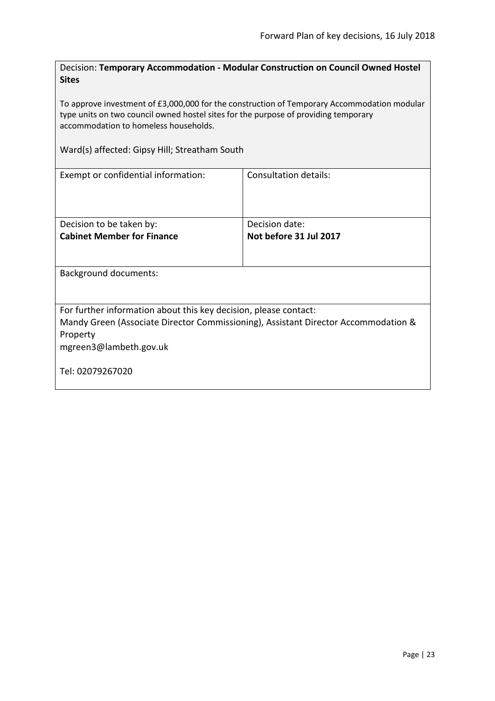<span id="page-22-0"></span>Decision: **Temporary Accommodation - Modular Construction on Council Owned Hostel Sites**

To approve investment of £3,000,000 for the construction of Temporary Accommodation modular type units on two council owned hostel sites for the purpose of providing temporary accommodation to homeless households.

Ward(s) affected: Gipsy Hill; Streatham South

| Exempt or confidential information:                                                | Consultation details:  |  |
|------------------------------------------------------------------------------------|------------------------|--|
| Decision to be taken by:                                                           | Decision date:         |  |
| <b>Cabinet Member for Finance</b>                                                  | Not before 31 Jul 2017 |  |
|                                                                                    |                        |  |
| <b>Background documents:</b>                                                       |                        |  |
| For further information about this key decision, please contact:                   |                        |  |
| Mandy Green (Associate Director Commissioning), Assistant Director Accommodation & |                        |  |
| Property                                                                           |                        |  |
| mgreen3@lambeth.gov.uk                                                             |                        |  |
| Tel: 02079267020                                                                   |                        |  |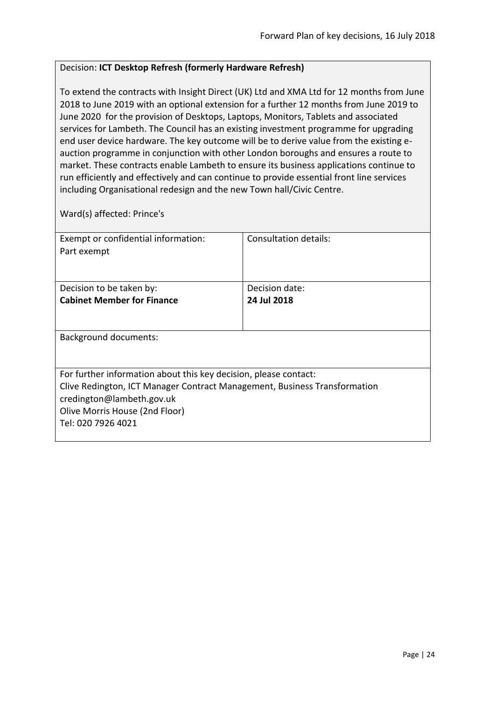#### <span id="page-23-0"></span>Decision: **ICT Desktop Refresh (formerly Hardware Refresh)**

To extend the contracts with Insight Direct (UK) Ltd and XMA Ltd for 12 months from June 2018 to June 2019 with an optional extension for a further 12 months from June 2019 to June 2020 for the provision of Desktops, Laptops, Monitors, Tablets and associated services for Lambeth. The Council has an existing investment programme for upgrading end user device hardware. The key outcome will be to derive value from the existing eauction programme in conjunction with other London boroughs and ensures a route to market. These contracts enable Lambeth to ensure its business applications continue to run efficiently and effectively and can continue to provide essential front line services including Organisational redesign and the new Town hall/Civic Centre.

Ward(s) affected: Prince's

| Exempt or confidential information:                                       | Consultation details: |
|---------------------------------------------------------------------------|-----------------------|
| Part exempt                                                               |                       |
|                                                                           |                       |
|                                                                           |                       |
| Decision to be taken by:                                                  | Decision date:        |
| <b>Cabinet Member for Finance</b>                                         | 24 Jul 2018           |
|                                                                           |                       |
|                                                                           |                       |
| Background documents:                                                     |                       |
|                                                                           |                       |
|                                                                           |                       |
| For further information about this key decision, please contact:          |                       |
| Clive Redington, ICT Manager Contract Management, Business Transformation |                       |
| credington@lambeth.gov.uk                                                 |                       |
| Olive Morris House (2nd Floor)                                            |                       |
| Tel: 020 7926 4021                                                        |                       |
|                                                                           |                       |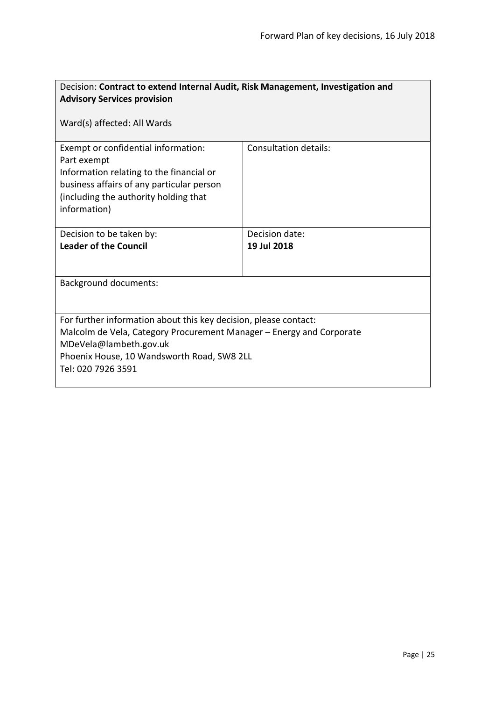<span id="page-24-0"></span>

| Decision: Contract to extend Internal Audit, Risk Management, Investigation and                                                                                                                                                        |                       |  |
|----------------------------------------------------------------------------------------------------------------------------------------------------------------------------------------------------------------------------------------|-----------------------|--|
| <b>Advisory Services provision</b>                                                                                                                                                                                                     |                       |  |
| Ward(s) affected: All Wards                                                                                                                                                                                                            |                       |  |
| Exempt or confidential information:<br>Part exempt<br>Information relating to the financial or<br>business affairs of any particular person<br>(including the authority holding that<br>information)                                   | Consultation details: |  |
| Decision to be taken by:                                                                                                                                                                                                               | Decision date:        |  |
| <b>Leader of the Council</b>                                                                                                                                                                                                           | 19 Jul 2018           |  |
| <b>Background documents:</b>                                                                                                                                                                                                           |                       |  |
| For further information about this key decision, please contact:<br>Malcolm de Vela, Category Procurement Manager – Energy and Corporate<br>MDeVela@lambeth.gov.uk<br>Phoenix House, 10 Wandsworth Road, SW8 2LL<br>Tel: 020 7926 3591 |                       |  |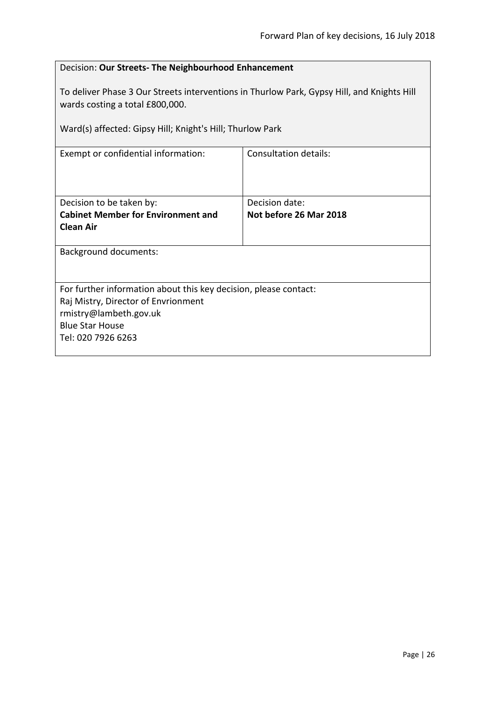<span id="page-25-0"></span>

| Decision: Our Streets- The Neighbourhood Enhancement                                                                                                                                       |  |  |
|--------------------------------------------------------------------------------------------------------------------------------------------------------------------------------------------|--|--|
| To deliver Phase 3 Our Streets interventions in Thurlow Park, Gypsy Hill, and Knights Hill<br>wards costing a total £800,000.<br>Ward(s) affected: Gipsy Hill; Knight's Hill; Thurlow Park |  |  |
|                                                                                                                                                                                            |  |  |
| <b>Consultation details:</b><br>Exempt or confidential information:                                                                                                                        |  |  |
|                                                                                                                                                                                            |  |  |
|                                                                                                                                                                                            |  |  |
| Decision date:                                                                                                                                                                             |  |  |
| Not before 26 Mar 2018                                                                                                                                                                     |  |  |
|                                                                                                                                                                                            |  |  |
| <b>Background documents:</b>                                                                                                                                                               |  |  |
|                                                                                                                                                                                            |  |  |
| For further information about this key decision, please contact:                                                                                                                           |  |  |
| Raj Mistry, Director of Envrionment                                                                                                                                                        |  |  |
| rmistry@lambeth.gov.uk                                                                                                                                                                     |  |  |
| <b>Blue Star House</b>                                                                                                                                                                     |  |  |
| Tel: 020 7926 6263                                                                                                                                                                         |  |  |
|                                                                                                                                                                                            |  |  |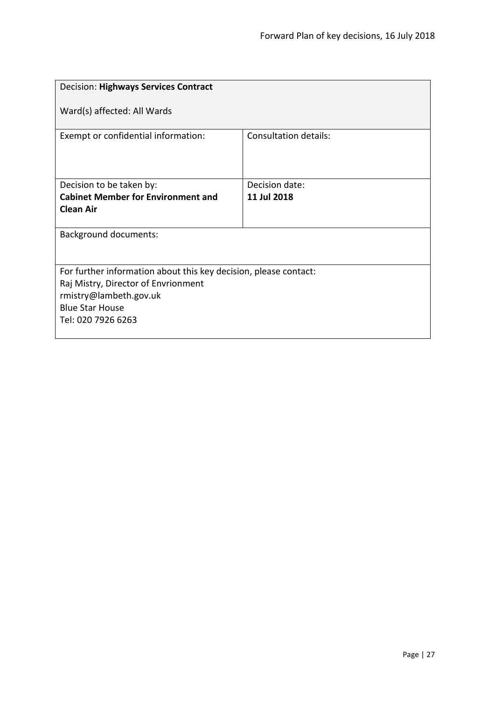<span id="page-26-0"></span>

| <b>Decision: Highways Services Contract</b>                                                                                                                                       |                              |  |
|-----------------------------------------------------------------------------------------------------------------------------------------------------------------------------------|------------------------------|--|
| Ward(s) affected: All Wards                                                                                                                                                       |                              |  |
| Exempt or confidential information:                                                                                                                                               | <b>Consultation details:</b> |  |
| Decision to be taken by:                                                                                                                                                          | Decision date:               |  |
| <b>Cabinet Member for Environment and</b><br><b>Clean Air</b>                                                                                                                     | 11 Jul 2018                  |  |
| <b>Background documents:</b>                                                                                                                                                      |                              |  |
| For further information about this key decision, please contact:<br>Raj Mistry, Director of Envrionment<br>rmistry@lambeth.gov.uk<br><b>Blue Star House</b><br>Tel: 020 7926 6263 |                              |  |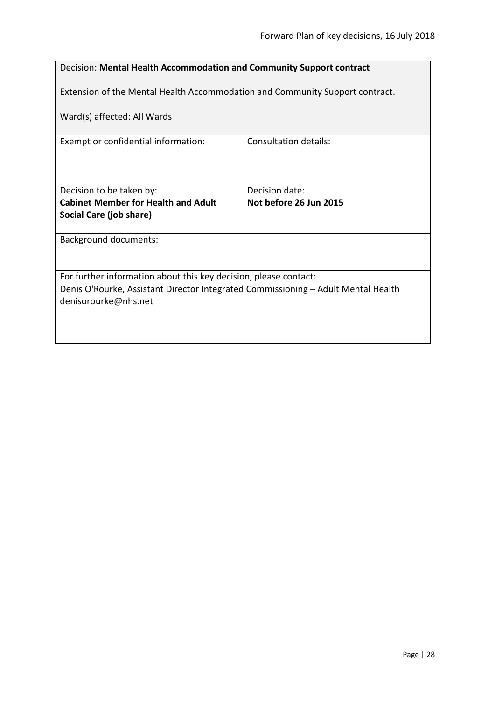<span id="page-27-0"></span>

| Decision: Mental Health Accommodation and Community Support contract                                      |                        |  |
|-----------------------------------------------------------------------------------------------------------|------------------------|--|
| Extension of the Mental Health Accommodation and Community Support contract.                              |                        |  |
| Ward(s) affected: All Wards                                                                               |                        |  |
| Exempt or confidential information:                                                                       | Consultation details:  |  |
|                                                                                                           |                        |  |
| Decision to be taken by:                                                                                  | Decision date:         |  |
| <b>Cabinet Member for Health and Adult</b>                                                                | Not before 26 Jun 2015 |  |
| Social Care (job share)                                                                                   |                        |  |
| Background documents:                                                                                     |                        |  |
|                                                                                                           |                        |  |
| For further information about this key decision, please contact:                                          |                        |  |
| Denis O'Rourke, Assistant Director Integrated Commissioning - Adult Mental Health<br>denisorourke@nhs.net |                        |  |
|                                                                                                           |                        |  |
|                                                                                                           |                        |  |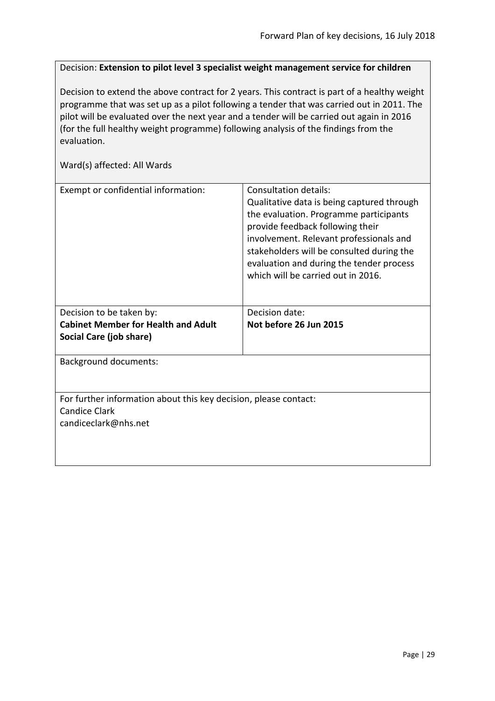<span id="page-28-0"></span>Decision: **Extension to pilot level 3 specialist weight management service for children**

Decision to extend the above contract for 2 years. This contract is part of a healthy weight programme that was set up as a pilot following a tender that was carried out in 2011. The pilot will be evaluated over the next year and a tender will be carried out again in 2016 (for the full healthy weight programme) following analysis of the findings from the evaluation.

| Exempt or confidential information:                              | Consultation details:<br>Qualitative data is being captured through<br>the evaluation. Programme participants<br>provide feedback following their<br>involvement. Relevant professionals and<br>stakeholders will be consulted during the<br>evaluation and during the tender process<br>which will be carried out in 2016. |  |
|------------------------------------------------------------------|-----------------------------------------------------------------------------------------------------------------------------------------------------------------------------------------------------------------------------------------------------------------------------------------------------------------------------|--|
| Decision to be taken by:                                         | Decision date:                                                                                                                                                                                                                                                                                                              |  |
| <b>Cabinet Member for Health and Adult</b>                       | Not before 26 Jun 2015                                                                                                                                                                                                                                                                                                      |  |
| Social Care (job share)                                          |                                                                                                                                                                                                                                                                                                                             |  |
| <b>Background documents:</b>                                     |                                                                                                                                                                                                                                                                                                                             |  |
|                                                                  |                                                                                                                                                                                                                                                                                                                             |  |
| For further information about this key decision, please contact: |                                                                                                                                                                                                                                                                                                                             |  |
| <b>Candice Clark</b>                                             |                                                                                                                                                                                                                                                                                                                             |  |
| candiceclark@nhs.net                                             |                                                                                                                                                                                                                                                                                                                             |  |
|                                                                  |                                                                                                                                                                                                                                                                                                                             |  |
|                                                                  |                                                                                                                                                                                                                                                                                                                             |  |
|                                                                  |                                                                                                                                                                                                                                                                                                                             |  |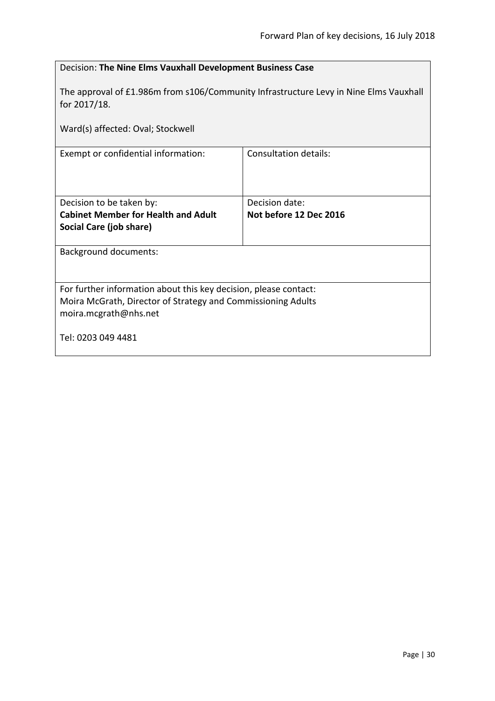<span id="page-29-0"></span>

| Decision: The Nine Elms Vauxhall Development Business Case                                            |                        |  |
|-------------------------------------------------------------------------------------------------------|------------------------|--|
| The approval of £1.986m from s106/Community Infrastructure Levy in Nine Elms Vauxhall<br>for 2017/18. |                        |  |
| Ward(s) affected: Oval; Stockwell                                                                     |                        |  |
| Exempt or confidential information:                                                                   | Consultation details:  |  |
|                                                                                                       |                        |  |
| Decision to be taken by:                                                                              | Decision date:         |  |
| <b>Cabinet Member for Health and Adult</b>                                                            | Not before 12 Dec 2016 |  |
| Social Care (job share)                                                                               |                        |  |
| <b>Background documents:</b>                                                                          |                        |  |
|                                                                                                       |                        |  |
| For further information about this key decision, please contact:                                      |                        |  |
| Moira McGrath, Director of Strategy and Commissioning Adults                                          |                        |  |
| moira.mcgrath@nhs.net                                                                                 |                        |  |
| Tel: 0203 049 4481                                                                                    |                        |  |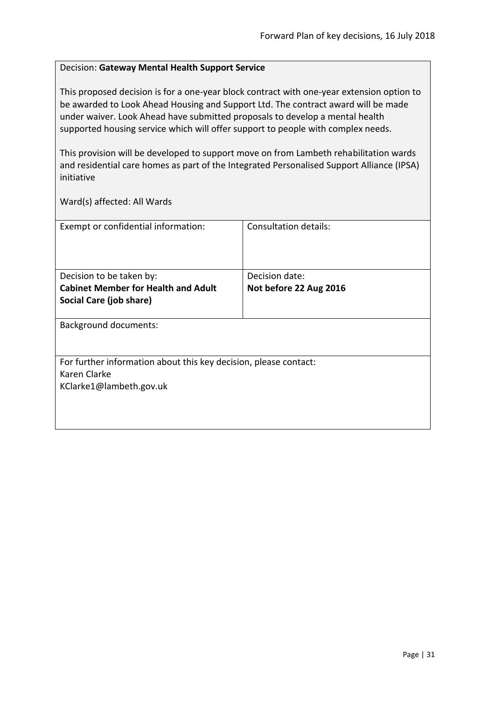#### <span id="page-30-0"></span>Decision: **Gateway Mental Health Support Service**

This proposed decision is for a one-year block contract with one-year extension option to be awarded to Look Ahead Housing and Support Ltd. The contract award will be made under waiver. Look Ahead have submitted proposals to develop a mental health supported housing service which will offer support to people with complex needs.

This provision will be developed to support move on from Lambeth rehabilitation wards and residential care homes as part of the Integrated Personalised Support Alliance (IPSA) initiative

| Exempt or confidential information:                                              | Consultation details:  |
|----------------------------------------------------------------------------------|------------------------|
|                                                                                  |                        |
| Decision to be taken by:                                                         | Decision date:         |
| <b>Cabinet Member for Health and Adult</b>                                       | Not before 22 Aug 2016 |
| Social Care (job share)                                                          |                        |
| <b>Background documents:</b>                                                     |                        |
| For further information about this key decision, please contact:<br>Karen Clarke |                        |
| KClarke1@lambeth.gov.uk                                                          |                        |
|                                                                                  |                        |
|                                                                                  |                        |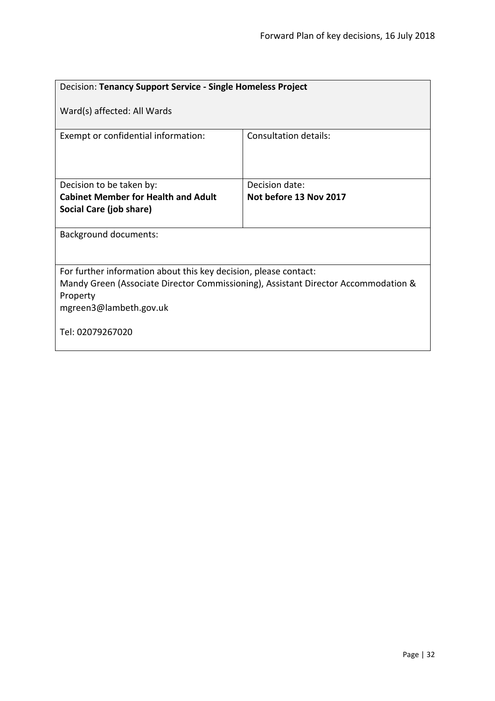<span id="page-31-0"></span>

| Decision: Tenancy Support Service - Single Homeless Project                                                                                                                                  |                        |  |
|----------------------------------------------------------------------------------------------------------------------------------------------------------------------------------------------|------------------------|--|
| Ward(s) affected: All Wards                                                                                                                                                                  |                        |  |
| Exempt or confidential information:                                                                                                                                                          | Consultation details:  |  |
| Decision to be taken by:                                                                                                                                                                     | Decision date:         |  |
| <b>Cabinet Member for Health and Adult</b><br>Social Care (job share)                                                                                                                        | Not before 13 Nov 2017 |  |
|                                                                                                                                                                                              |                        |  |
| <b>Background documents:</b>                                                                                                                                                                 |                        |  |
| For further information about this key decision, please contact:<br>Mandy Green (Associate Director Commissioning), Assistant Director Accommodation &<br>Property<br>mgreen3@lambeth.gov.uk |                        |  |
| Tel: 02079267020                                                                                                                                                                             |                        |  |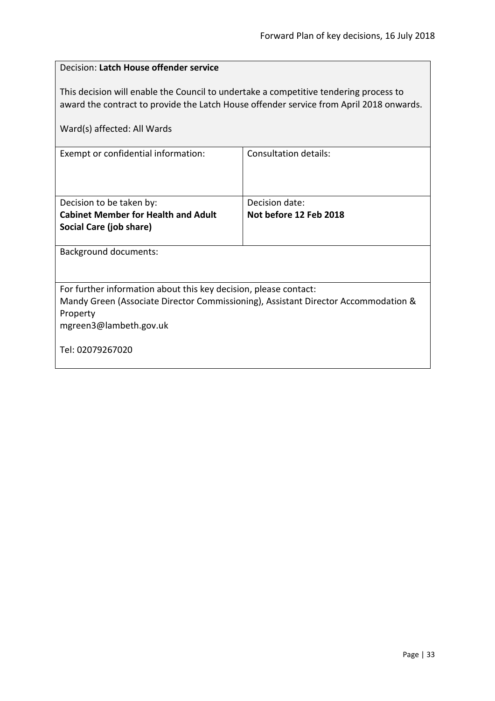<span id="page-32-0"></span>

| Decision: Latch House offender service                                                                                                                                           |                        |  |
|----------------------------------------------------------------------------------------------------------------------------------------------------------------------------------|------------------------|--|
| This decision will enable the Council to undertake a competitive tendering process to<br>award the contract to provide the Latch House offender service from April 2018 onwards. |                        |  |
| Ward(s) affected: All Wards                                                                                                                                                      |                        |  |
| Exempt or confidential information:                                                                                                                                              | Consultation details:  |  |
| Decision to be taken by:                                                                                                                                                         | Decision date:         |  |
| <b>Cabinet Member for Health and Adult</b>                                                                                                                                       | Not before 12 Feb 2018 |  |
| Social Care (job share)                                                                                                                                                          |                        |  |
| <b>Background documents:</b>                                                                                                                                                     |                        |  |
| For further information about this key decision, please contact:                                                                                                                 |                        |  |
| Mandy Green (Associate Director Commissioning), Assistant Director Accommodation &                                                                                               |                        |  |
| Property<br>mgreen3@lambeth.gov.uk                                                                                                                                               |                        |  |
|                                                                                                                                                                                  |                        |  |
| Tel: 02079267020                                                                                                                                                                 |                        |  |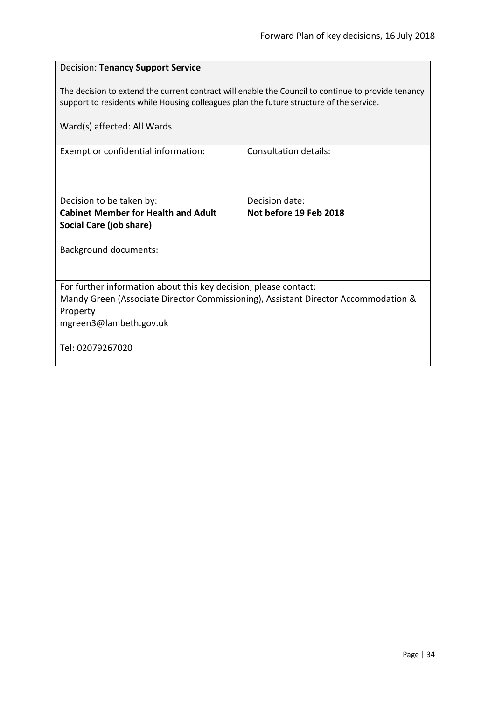<span id="page-33-0"></span>

| <b>Decision: Tenancy Support Service</b>                                                                                                                                                      |                                          |  |
|-----------------------------------------------------------------------------------------------------------------------------------------------------------------------------------------------|------------------------------------------|--|
| The decision to extend the current contract will enable the Council to continue to provide tenancy<br>support to residents while Housing colleagues plan the future structure of the service. |                                          |  |
| Ward(s) affected: All Wards                                                                                                                                                                   |                                          |  |
| Exempt or confidential information:                                                                                                                                                           | <b>Consultation details:</b>             |  |
| Decision to be taken by:<br><b>Cabinet Member for Health and Adult</b><br>Social Care (job share)                                                                                             | Decision date:<br>Not before 19 Feb 2018 |  |
| <b>Background documents:</b>                                                                                                                                                                  |                                          |  |
| For further information about this key decision, please contact:<br>Mandy Green (Associate Director Commissioning), Assistant Director Accommodation &<br>Property<br>mgreen3@lambeth.gov.uk  |                                          |  |
| Tel: 02079267020                                                                                                                                                                              |                                          |  |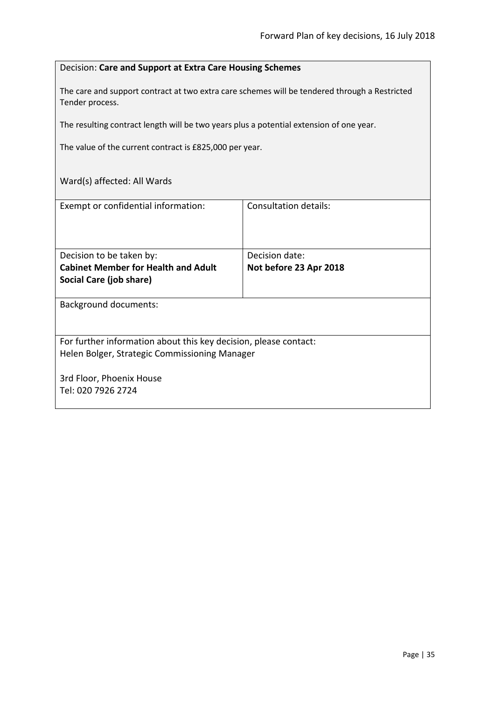#### <span id="page-34-0"></span>Decision: **Care and Support at Extra Care Housing Schemes**

The care and support contract at two extra care schemes will be tendered through a Restricted Tender process.

The resulting contract length will be two years plus a potential extension of one year.

The value of the current contract is £825,000 per year.

| Exempt or confidential information:                              | Consultation details:  |
|------------------------------------------------------------------|------------------------|
|                                                                  |                        |
|                                                                  |                        |
| Decision to be taken by:                                         | Decision date:         |
| <b>Cabinet Member for Health and Adult</b>                       | Not before 23 Apr 2018 |
| Social Care (job share)                                          |                        |
|                                                                  |                        |
| <b>Background documents:</b>                                     |                        |
|                                                                  |                        |
|                                                                  |                        |
| For further information about this key decision, please contact: |                        |
| Helen Bolger, Strategic Commissioning Manager                    |                        |
|                                                                  |                        |
| 3rd Floor, Phoenix House                                         |                        |
| Tel: 020 7926 2724                                               |                        |
|                                                                  |                        |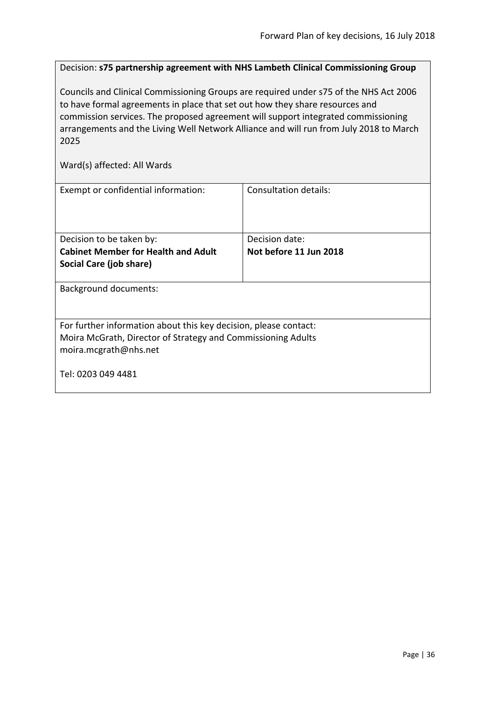<span id="page-35-0"></span>Decision: **s75 partnership agreement with NHS Lambeth Clinical Commissioning Group**

Councils and Clinical Commissioning Groups are required under s75 of the NHS Act 2006 to have formal agreements in place that set out how they share resources and commission services. The proposed agreement will support integrated commissioning arrangements and the Living Well Network Alliance and will run from July 2018 to March 2025

| Exempt or confidential information:                                                                                                                       | Consultation details:  |  |
|-----------------------------------------------------------------------------------------------------------------------------------------------------------|------------------------|--|
| Decision to be taken by:                                                                                                                                  | Decision date:         |  |
| <b>Cabinet Member for Health and Adult</b>                                                                                                                | Not before 11 Jun 2018 |  |
| Social Care (job share)                                                                                                                                   |                        |  |
| <b>Background documents:</b>                                                                                                                              |                        |  |
| For further information about this key decision, please contact:<br>Moira McGrath, Director of Strategy and Commissioning Adults<br>moira.mcgrath@nhs.net |                        |  |
| Tel: 0203 049 4481                                                                                                                                        |                        |  |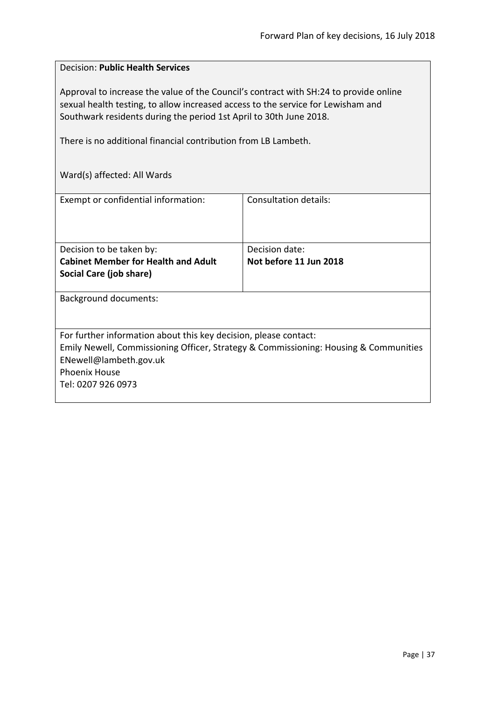#### <span id="page-36-0"></span>Decision: **Public Health Services**

Approval to increase the value of the Council's contract with SH:24 to provide online sexual health testing, to allow increased access to the service for Lewisham and Southwark residents during the period 1st April to 30th June 2018.

There is no additional financial contribution from LB Lambeth.

| Exempt or confidential information:                                                  | Consultation details:  |
|--------------------------------------------------------------------------------------|------------------------|
|                                                                                      |                        |
|                                                                                      |                        |
|                                                                                      |                        |
|                                                                                      |                        |
| Decision to be taken by:                                                             | Decision date:         |
| <b>Cabinet Member for Health and Adult</b>                                           | Not before 11 Jun 2018 |
| Social Care (job share)                                                              |                        |
|                                                                                      |                        |
|                                                                                      |                        |
| <b>Background documents:</b>                                                         |                        |
|                                                                                      |                        |
|                                                                                      |                        |
| For further information about this key decision, please contact:                     |                        |
| Emily Newell, Commissioning Officer, Strategy & Commissioning: Housing & Communities |                        |
| ENewell@lambeth.gov.uk                                                               |                        |
|                                                                                      |                        |
| <b>Phoenix House</b>                                                                 |                        |
| Tel: 0207 926 0973                                                                   |                        |
|                                                                                      |                        |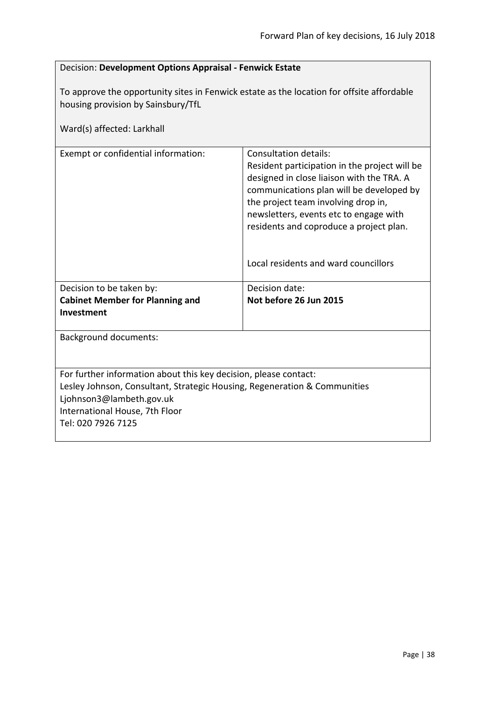<span id="page-37-0"></span>

| Decision: Development Options Appraisal - Fenwick Estate |  |
|----------------------------------------------------------|--|
|                                                          |  |

To approve the opportunity sites in Fenwick estate as the location for offsite affordable housing provision by Sainsbury/TfL

| Ward(s) affected: Larkhall                                                |                                                                                                                                                                                                                                                                                                                                            |  |
|---------------------------------------------------------------------------|--------------------------------------------------------------------------------------------------------------------------------------------------------------------------------------------------------------------------------------------------------------------------------------------------------------------------------------------|--|
| Exempt or confidential information:                                       | <b>Consultation details:</b><br>Resident participation in the project will be<br>designed in close liaison with the TRA. A<br>communications plan will be developed by<br>the project team involving drop in,<br>newsletters, events etc to engage with<br>residents and coproduce a project plan.<br>Local residents and ward councillors |  |
| Decision to be taken by:                                                  | Decision date:                                                                                                                                                                                                                                                                                                                             |  |
| <b>Cabinet Member for Planning and</b><br>Investment                      | Not before 26 Jun 2015                                                                                                                                                                                                                                                                                                                     |  |
| <b>Background documents:</b>                                              |                                                                                                                                                                                                                                                                                                                                            |  |
| For further information about this key decision, please contact:          |                                                                                                                                                                                                                                                                                                                                            |  |
| Lesley Johnson, Consultant, Strategic Housing, Regeneration & Communities |                                                                                                                                                                                                                                                                                                                                            |  |
| Ljohnson3@lambeth.gov.uk                                                  |                                                                                                                                                                                                                                                                                                                                            |  |
| International House, 7th Floor                                            |                                                                                                                                                                                                                                                                                                                                            |  |
| Tel: 020 7926 7125                                                        |                                                                                                                                                                                                                                                                                                                                            |  |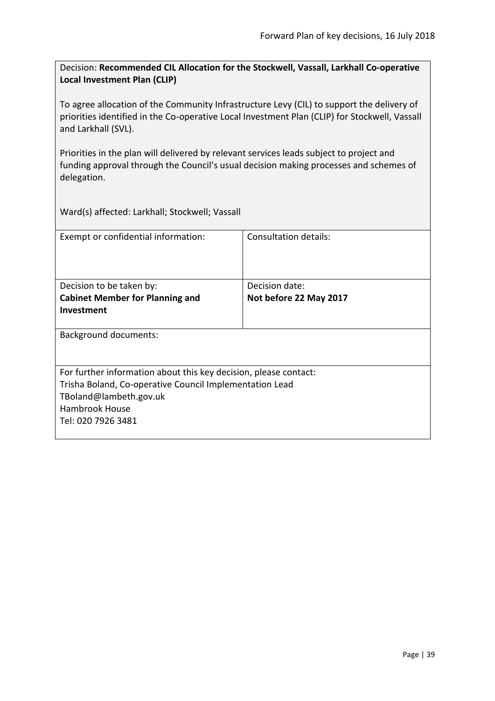<span id="page-38-0"></span>Decision: **Recommended CIL Allocation for the Stockwell, Vassall, Larkhall Co-operative Local Investment Plan (CLIP)**

To agree allocation of the Community Infrastructure Levy (CIL) to support the delivery of priorities identified in the Co-operative Local Investment Plan (CLIP) for Stockwell, Vassall and Larkhall (SVL).

Priorities in the plan will delivered by relevant services leads subject to project and funding approval through the Council's usual decision making processes and schemes of delegation.

Ward(s) affected: Larkhall; Stockwell; Vassall

| Exempt or confidential information:                              | Consultation details:  |
|------------------------------------------------------------------|------------------------|
| Decision to be taken by:                                         | Decision date:         |
| <b>Cabinet Member for Planning and</b>                           | Not before 22 May 2017 |
| <b>Investment</b>                                                |                        |
| <b>Background documents:</b>                                     |                        |
| For further information about this key decision, please contact: |                        |
| Trisha Boland, Co-operative Council Implementation Lead          |                        |
| TBoland@lambeth.gov.uk                                           |                        |
| <b>Hambrook House</b>                                            |                        |
| Tel: 020 7926 3481                                               |                        |
|                                                                  |                        |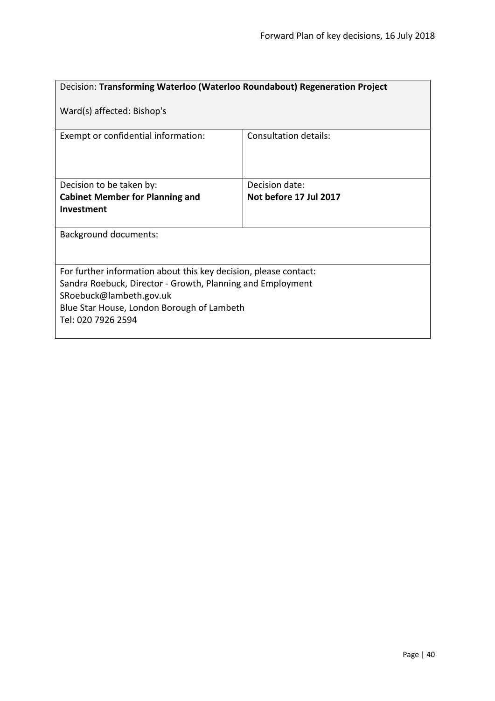<span id="page-39-0"></span>

| Decision: Transforming Waterloo (Waterloo Roundabout) Regeneration Project                                                                                                                                                    |                              |  |
|-------------------------------------------------------------------------------------------------------------------------------------------------------------------------------------------------------------------------------|------------------------------|--|
| Ward(s) affected: Bishop's                                                                                                                                                                                                    |                              |  |
| Exempt or confidential information:                                                                                                                                                                                           | <b>Consultation details:</b> |  |
| Decision to be taken by:                                                                                                                                                                                                      | Decision date:               |  |
| <b>Cabinet Member for Planning and</b>                                                                                                                                                                                        | Not before 17 Jul 2017       |  |
| Investment                                                                                                                                                                                                                    |                              |  |
| <b>Background documents:</b>                                                                                                                                                                                                  |                              |  |
| For further information about this key decision, please contact:<br>Sandra Roebuck, Director - Growth, Planning and Employment<br>SRoebuck@lambeth.gov.uk<br>Blue Star House, London Borough of Lambeth<br>Tel: 020 7926 2594 |                              |  |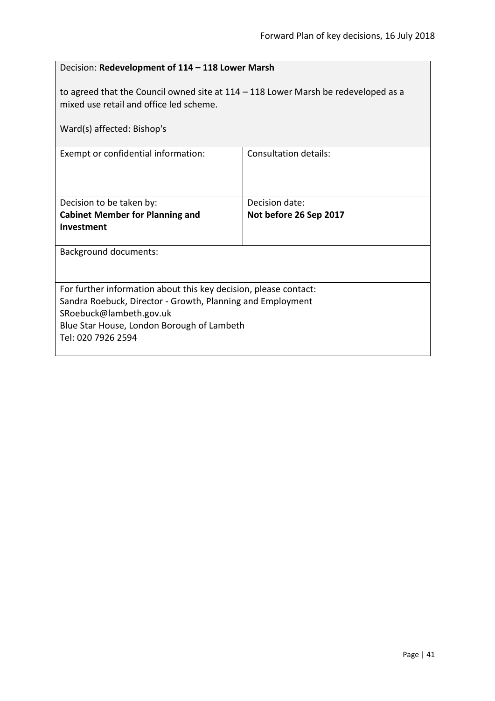<span id="page-40-0"></span>

| Decision: Redevelopment of 114 - 118 Lower Marsh                                                                                                                                                                              |                        |  |
|-------------------------------------------------------------------------------------------------------------------------------------------------------------------------------------------------------------------------------|------------------------|--|
| to agreed that the Council owned site at $114 - 118$ Lower Marsh be redeveloped as a<br>mixed use retail and office led scheme.<br>Ward(s) affected: Bishop's                                                                 |                        |  |
| Exempt or confidential information:                                                                                                                                                                                           | Consultation details:  |  |
|                                                                                                                                                                                                                               |                        |  |
| Decision to be taken by:                                                                                                                                                                                                      | Decision date:         |  |
| <b>Cabinet Member for Planning and</b><br>Investment                                                                                                                                                                          | Not before 26 Sep 2017 |  |
| <b>Background documents:</b>                                                                                                                                                                                                  |                        |  |
| For further information about this key decision, please contact:<br>Sandra Roebuck, Director - Growth, Planning and Employment<br>SRoebuck@lambeth.gov.uk<br>Blue Star House, London Borough of Lambeth<br>Tel: 020 7926 2594 |                        |  |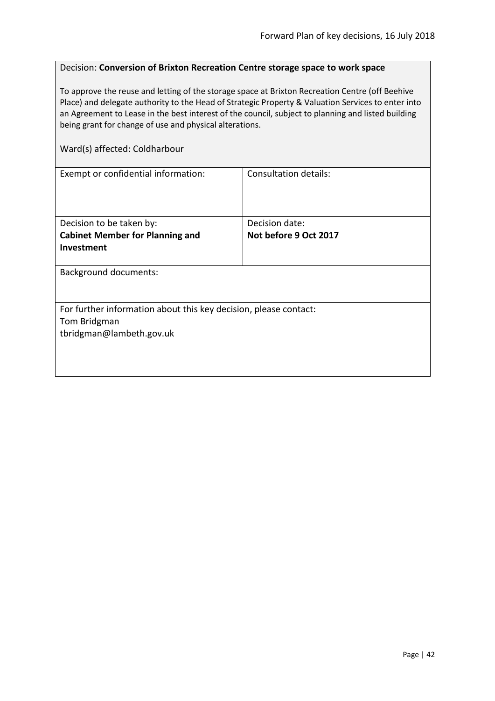#### <span id="page-41-0"></span>Decision: **Conversion of Brixton Recreation Centre storage space to work space**

To approve the reuse and letting of the storage space at Brixton Recreation Centre (off Beehive Place) and delegate authority to the Head of Strategic Property & Valuation Services to enter into an Agreement to Lease in the best interest of the council, subject to planning and listed building being grant for change of use and physical alterations.

#### Ward(s) affected: Coldharbour

| Exempt or confidential information:                              | Consultation details: |  |
|------------------------------------------------------------------|-----------------------|--|
|                                                                  |                       |  |
|                                                                  |                       |  |
|                                                                  |                       |  |
| Decision to be taken by:                                         | Decision date:        |  |
| <b>Cabinet Member for Planning and</b>                           | Not before 9 Oct 2017 |  |
| Investment                                                       |                       |  |
|                                                                  |                       |  |
| <b>Background documents:</b>                                     |                       |  |
|                                                                  |                       |  |
|                                                                  |                       |  |
| For further information about this key decision, please contact: |                       |  |
| Tom Bridgman                                                     |                       |  |
| tbridgman@lambeth.gov.uk                                         |                       |  |
|                                                                  |                       |  |
|                                                                  |                       |  |
|                                                                  |                       |  |
|                                                                  |                       |  |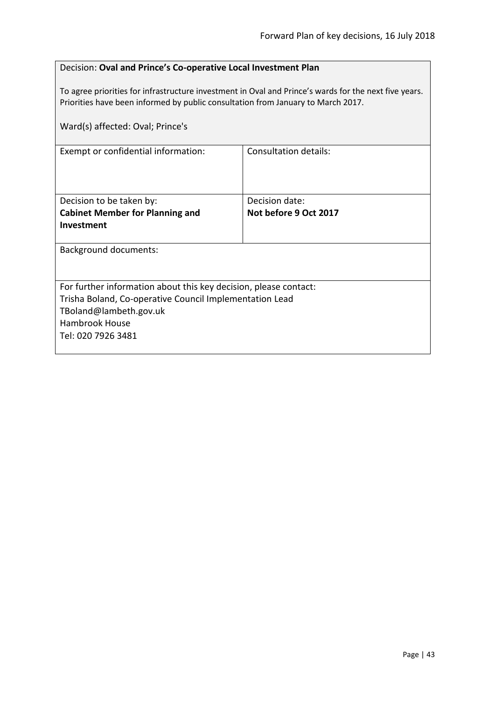#### <span id="page-42-0"></span>Decision: **Oval and Prince's Co-operative Local Investment Plan**

To agree priorities for infrastructure investment in Oval and Prince's wards for the next five years. Priorities have been informed by public consultation from January to March 2017.

| Ward(s) affected: Oval; Prince's                                 |                       |  |
|------------------------------------------------------------------|-----------------------|--|
| Exempt or confidential information:                              | Consultation details: |  |
| Decision to be taken by:                                         | Decision date:        |  |
| <b>Cabinet Member for Planning and</b>                           | Not before 9 Oct 2017 |  |
| Investment                                                       |                       |  |
| <b>Background documents:</b>                                     |                       |  |
| For further information about this key decision, please contact: |                       |  |
| Trisha Boland, Co-operative Council Implementation Lead          |                       |  |
| TBoland@lambeth.gov.uk                                           |                       |  |
| Hambrook House                                                   |                       |  |
| Tel: 020 7926 3481                                               |                       |  |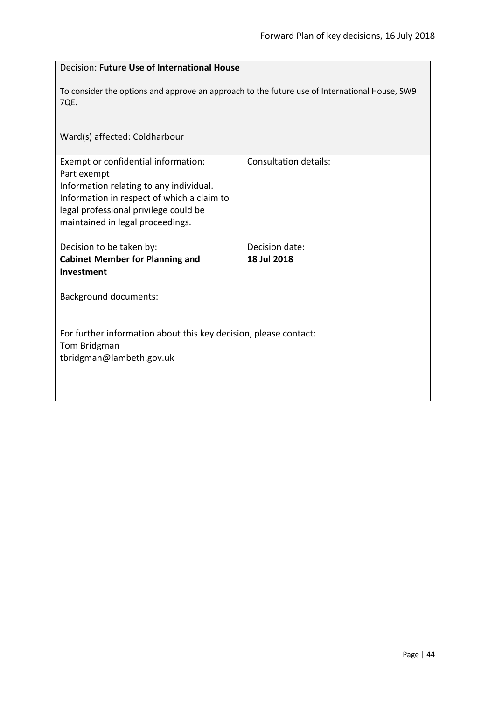<span id="page-43-0"></span>

| Decision: Future Use of International House                                                                                                                                                                              |                              |  |
|--------------------------------------------------------------------------------------------------------------------------------------------------------------------------------------------------------------------------|------------------------------|--|
| To consider the options and approve an approach to the future use of International House, SW9<br>7QE.                                                                                                                    |                              |  |
| Ward(s) affected: Coldharbour                                                                                                                                                                                            |                              |  |
| Exempt or confidential information:<br>Part exempt<br>Information relating to any individual.<br>Information in respect of which a claim to<br>legal professional privilege could be<br>maintained in legal proceedings. | <b>Consultation details:</b> |  |
| Decision to be taken by:                                                                                                                                                                                                 | Decision date:               |  |
| <b>Cabinet Member for Planning and</b><br>Investment                                                                                                                                                                     | 18 Jul 2018                  |  |
| <b>Background documents:</b>                                                                                                                                                                                             |                              |  |
| For further information about this key decision, please contact:<br>Tom Bridgman<br>tbridgman@lambeth.gov.uk                                                                                                             |                              |  |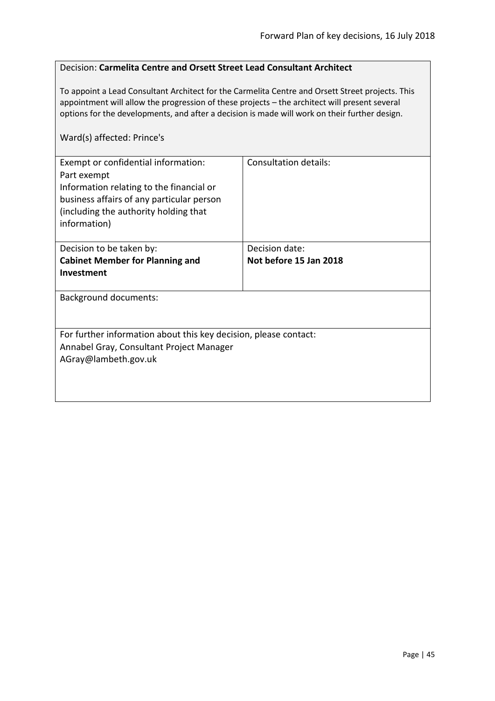#### <span id="page-44-0"></span>Decision: **Carmelita Centre and Orsett Street Lead Consultant Architect**

To appoint a Lead Consultant Architect for the Carmelita Centre and Orsett Street projects. This appointment will allow the progression of these projects – the architect will present several options for the developments, and after a decision is made will work on their further design.

#### Ward(s) affected: Prince's

| Exempt or confidential information:<br>Part exempt<br>Information relating to the financial or<br>business affairs of any particular person<br>(including the authority holding that | Consultation details:  |
|--------------------------------------------------------------------------------------------------------------------------------------------------------------------------------------|------------------------|
| information)                                                                                                                                                                         |                        |
| Decision to be taken by:                                                                                                                                                             | Decision date:         |
| <b>Cabinet Member for Planning and</b>                                                                                                                                               | Not before 15 Jan 2018 |
| <b>Investment</b>                                                                                                                                                                    |                        |
| <b>Background documents:</b>                                                                                                                                                         |                        |
| For further information about this key decision, please contact:                                                                                                                     |                        |
| Annabel Gray, Consultant Project Manager<br>AGray@lambeth.gov.uk                                                                                                                     |                        |
|                                                                                                                                                                                      |                        |
|                                                                                                                                                                                      |                        |
|                                                                                                                                                                                      |                        |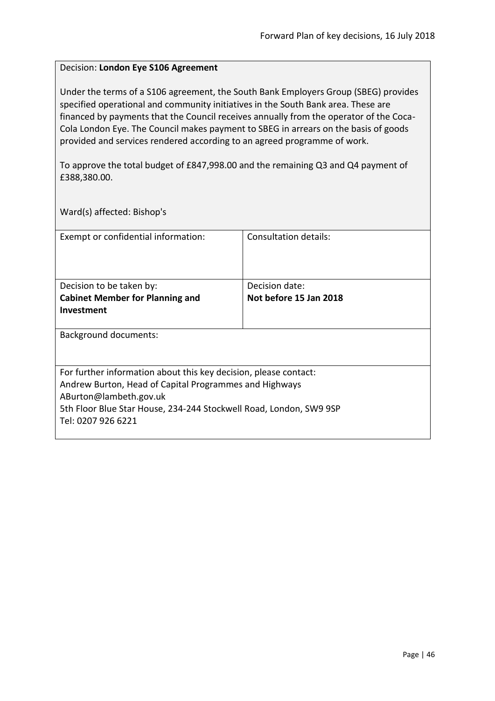#### <span id="page-45-0"></span>Decision: **London Eye S106 Agreement**

Under the terms of a S106 agreement, the South Bank Employers Group (SBEG) provides specified operational and community initiatives in the South Bank area. These are financed by payments that the Council receives annually from the operator of the Coca-Cola London Eye. The Council makes payment to SBEG in arrears on the basis of goods provided and services rendered according to an agreed programme of work.

To approve the total budget of £847,998.00 and the remaining Q3 and Q4 payment of £388,380.00.

Ward(s) affected: Bishop's

| Exempt or confidential information:                                | Consultation details:  |
|--------------------------------------------------------------------|------------------------|
| Decision to be taken by:                                           | Decision date:         |
| <b>Cabinet Member for Planning and</b>                             | Not before 15 Jan 2018 |
| Investment                                                         |                        |
| Background documents:                                              |                        |
| For further information about this key decision, please contact:   |                        |
| Andrew Burton, Head of Capital Programmes and Highways             |                        |
| ABurton@lambeth.gov.uk                                             |                        |
| 5th Floor Blue Star House, 234-244 Stockwell Road, London, SW9 9SP |                        |
| Tel: 0207 926 6221                                                 |                        |
|                                                                    |                        |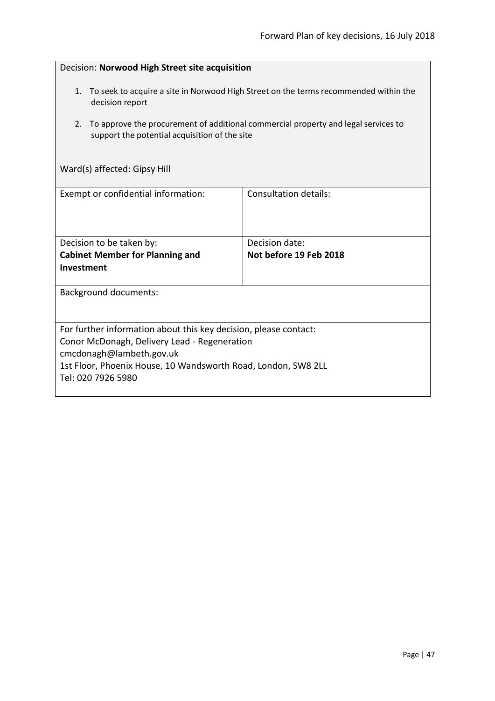<span id="page-46-0"></span>

| Decision: Norwood High Street site acquisition                                                                                                                                                                                      |                                          |  |
|-------------------------------------------------------------------------------------------------------------------------------------------------------------------------------------------------------------------------------------|------------------------------------------|--|
| To seek to acquire a site in Norwood High Street on the terms recommended within the<br>1.<br>decision report                                                                                                                       |                                          |  |
| To approve the procurement of additional commercial property and legal services to<br>2.<br>support the potential acquisition of the site                                                                                           |                                          |  |
| Ward(s) affected: Gipsy Hill                                                                                                                                                                                                        |                                          |  |
| Consultation details:<br>Exempt or confidential information:                                                                                                                                                                        |                                          |  |
| Decision to be taken by:<br><b>Cabinet Member for Planning and</b><br>Investment                                                                                                                                                    | Decision date:<br>Not before 19 Feb 2018 |  |
| <b>Background documents:</b>                                                                                                                                                                                                        |                                          |  |
| For further information about this key decision, please contact:<br>Conor McDonagh, Delivery Lead - Regeneration<br>cmcdonagh@lambeth.gov.uk<br>1st Floor, Phoenix House, 10 Wandsworth Road, London, SW8 2LL<br>Tel: 020 7926 5980 |                                          |  |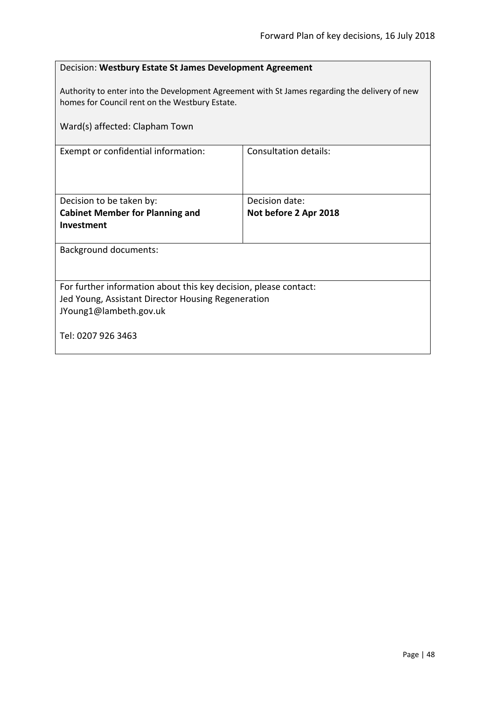<span id="page-47-0"></span>

| Decision: Westbury Estate St James Development Agreement                                                                                        |                              |  |
|-------------------------------------------------------------------------------------------------------------------------------------------------|------------------------------|--|
| Authority to enter into the Development Agreement with St James regarding the delivery of new<br>homes for Council rent on the Westbury Estate. |                              |  |
| Ward(s) affected: Clapham Town                                                                                                                  |                              |  |
| Exempt or confidential information:                                                                                                             | <b>Consultation details:</b> |  |
|                                                                                                                                                 |                              |  |
| Decision to be taken by:                                                                                                                        | Decision date:               |  |
| <b>Cabinet Member for Planning and</b>                                                                                                          | Not before 2 Apr 2018        |  |
| Investment                                                                                                                                      |                              |  |
| <b>Background documents:</b>                                                                                                                    |                              |  |
|                                                                                                                                                 |                              |  |
| For further information about this key decision, please contact:                                                                                |                              |  |
| Jed Young, Assistant Director Housing Regeneration                                                                                              |                              |  |
| JYoung1@lambeth.gov.uk                                                                                                                          |                              |  |
| Tel: 0207 926 3463                                                                                                                              |                              |  |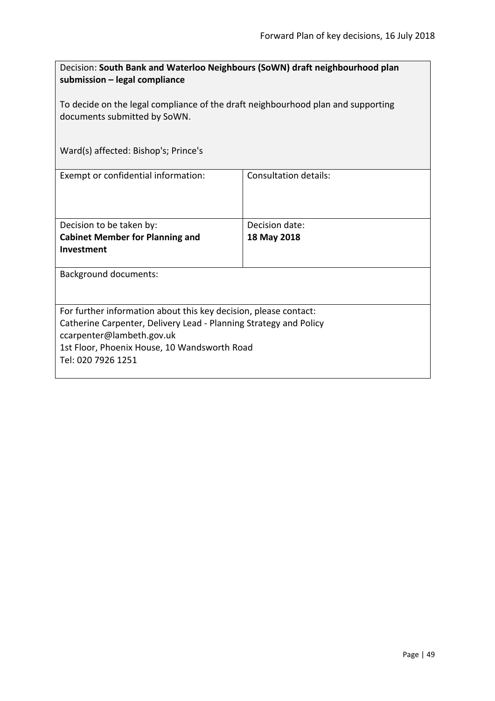<span id="page-48-0"></span>

| Decision: South Bank and Waterloo Neighbours (SoWN) draft neighbourhood plan<br>submission - legal compliance    |                       |  |
|------------------------------------------------------------------------------------------------------------------|-----------------------|--|
| To decide on the legal compliance of the draft neighbourhood plan and supporting<br>documents submitted by SoWN. |                       |  |
| Ward(s) affected: Bishop's; Prince's                                                                             |                       |  |
| Exempt or confidential information:                                                                              | Consultation details: |  |
| Decision to be taken by:                                                                                         | Decision date:        |  |
| <b>Cabinet Member for Planning and</b><br>Investment                                                             | 18 May 2018           |  |
|                                                                                                                  |                       |  |
| <b>Background documents:</b>                                                                                     |                       |  |
|                                                                                                                  |                       |  |
| For further information about this key decision, please contact:                                                 |                       |  |
| Catherine Carpenter, Delivery Lead - Planning Strategy and Policy                                                |                       |  |
| ccarpenter@lambeth.gov.uk                                                                                        |                       |  |
| 1st Floor, Phoenix House, 10 Wandsworth Road<br>Tel: 020 7926 1251                                               |                       |  |
|                                                                                                                  |                       |  |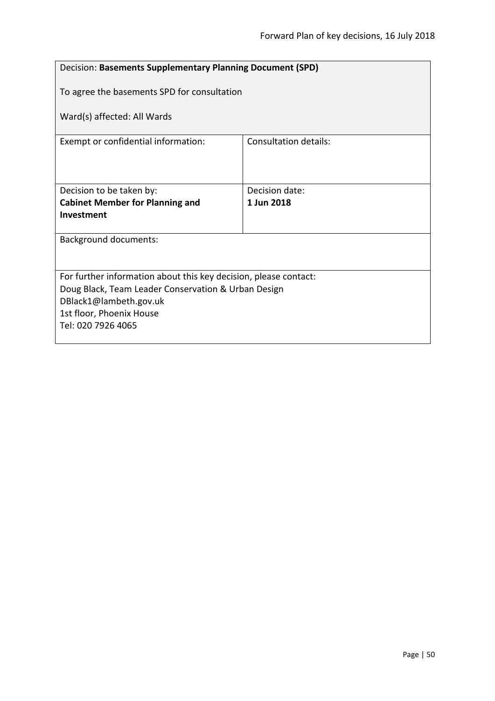<span id="page-49-0"></span>

| Decision: Basements Supplementary Planning Document (SPD)        |                              |  |
|------------------------------------------------------------------|------------------------------|--|
| To agree the basements SPD for consultation                      |                              |  |
| Ward(s) affected: All Wards                                      |                              |  |
| Exempt or confidential information:                              | <b>Consultation details:</b> |  |
|                                                                  |                              |  |
| Decision to be taken by:                                         | Decision date:               |  |
| <b>Cabinet Member for Planning and</b>                           | 1 Jun 2018                   |  |
| Investment                                                       |                              |  |
| <b>Background documents:</b>                                     |                              |  |
|                                                                  |                              |  |
|                                                                  |                              |  |
| For further information about this key decision, please contact: |                              |  |
| Doug Black, Team Leader Conservation & Urban Design              |                              |  |
| DBlack1@lambeth.gov.uk                                           |                              |  |
| 1st floor, Phoenix House                                         |                              |  |
| Tel: 020 7926 4065                                               |                              |  |
|                                                                  |                              |  |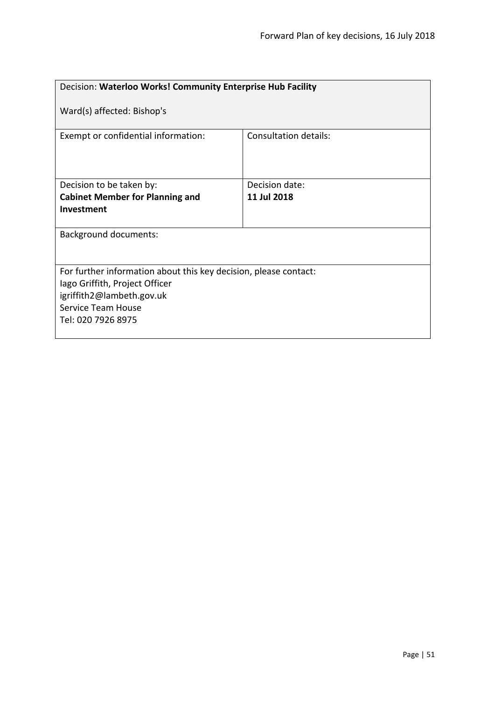<span id="page-50-0"></span>

| Decision: Waterloo Works! Community Enterprise Hub Facility                                                                                                                 |                       |  |
|-----------------------------------------------------------------------------------------------------------------------------------------------------------------------------|-----------------------|--|
| Ward(s) affected: Bishop's                                                                                                                                                  |                       |  |
| Exempt or confidential information:                                                                                                                                         | Consultation details: |  |
| Decision to be taken by:                                                                                                                                                    | Decision date:        |  |
| <b>Cabinet Member for Planning and</b>                                                                                                                                      | 11 Jul 2018           |  |
| Investment                                                                                                                                                                  |                       |  |
| <b>Background documents:</b>                                                                                                                                                |                       |  |
| For further information about this key decision, please contact:<br>lago Griffith, Project Officer<br>igriffith2@lambeth.gov.uk<br>Service Team House<br>Tel: 020 7926 8975 |                       |  |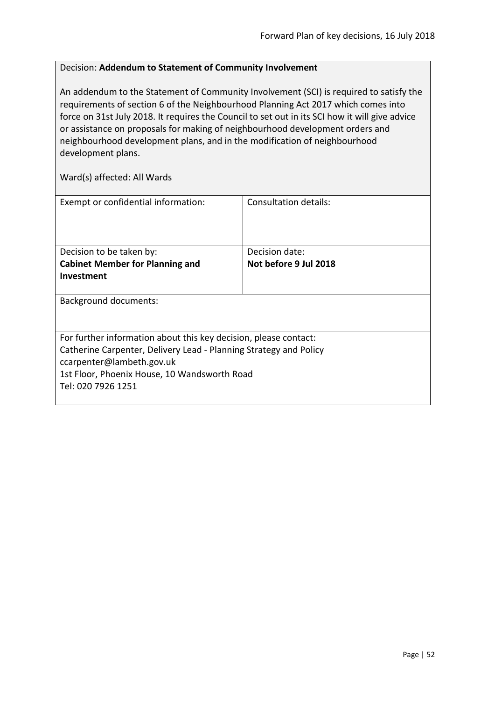#### <span id="page-51-0"></span>Decision: **Addendum to Statement of Community Involvement**

An addendum to the Statement of Community Involvement (SCI) is required to satisfy the requirements of section 6 of the Neighbourhood Planning Act 2017 which comes into force on 31st July 2018. It requires the Council to set out in its SCI how it will give advice or assistance on proposals for making of neighbourhood development orders and neighbourhood development plans, and in the modification of neighbourhood development plans.

| Exempt or confidential information:                               | Consultation details: |
|-------------------------------------------------------------------|-----------------------|
|                                                                   |                       |
| Decision to be taken by:                                          | Decision date:        |
| <b>Cabinet Member for Planning and</b>                            | Not before 9 Jul 2018 |
| Investment                                                        |                       |
| <b>Background documents:</b>                                      |                       |
| For further information about this key decision, please contact:  |                       |
| Catherine Carpenter, Delivery Lead - Planning Strategy and Policy |                       |
| ccarpenter@lambeth.gov.uk                                         |                       |
| 1st Floor, Phoenix House, 10 Wandsworth Road                      |                       |
| Tel: 020 7926 1251                                                |                       |
|                                                                   |                       |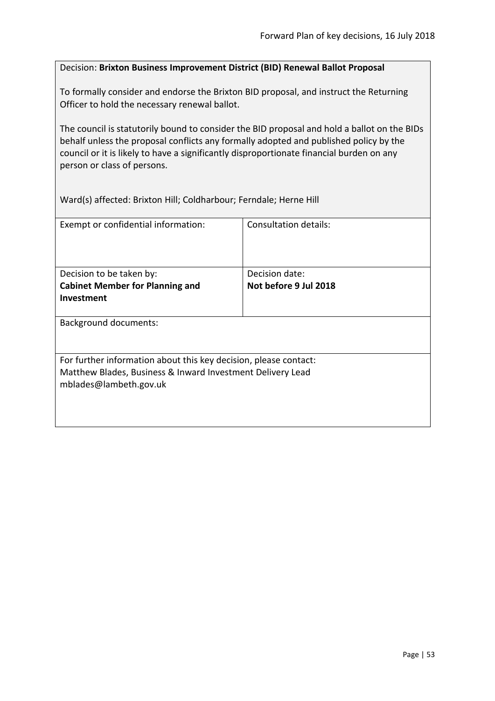#### <span id="page-52-0"></span>Decision: **Brixton Business Improvement District (BID) Renewal Ballot Proposal**

To formally consider and endorse the Brixton BID proposal, and instruct the Returning Officer to hold the necessary renewal ballot.

The council is statutorily bound to consider the BID proposal and hold a ballot on the BIDs behalf unless the proposal conflicts any formally adopted and published policy by the council or it is likely to have a significantly disproportionate financial burden on any person or class of persons.

Ward(s) affected: Brixton Hill; Coldharbour; Ferndale; Herne Hill

| Exempt or confidential information:                                                  | Consultation details: |  |
|--------------------------------------------------------------------------------------|-----------------------|--|
| Decision to be taken by:                                                             | Decision date:        |  |
| <b>Cabinet Member for Planning and</b>                                               | Not before 9 Jul 2018 |  |
| <b>Investment</b>                                                                    |                       |  |
| <b>Background documents:</b>                                                         |                       |  |
| For further information about this key decision, please contact:                     |                       |  |
| Matthew Blades, Business & Inward Investment Delivery Lead<br>mblades@lambeth.gov.uk |                       |  |
|                                                                                      |                       |  |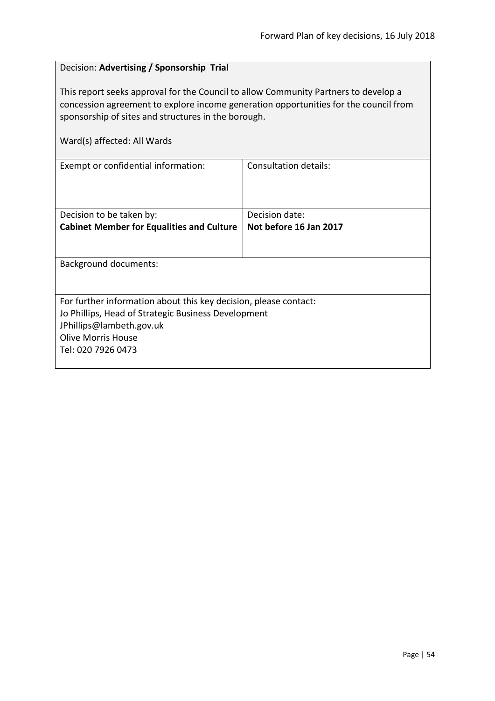#### <span id="page-53-0"></span>Decision: **Advertising / Sponsorship Trial**

This report seeks approval for the Council to allow Community Partners to develop a concession agreement to explore income generation opportunities for the council from sponsorship of sites and structures in the borough.

| Exempt or confidential information:                              | Consultation details:  |  |
|------------------------------------------------------------------|------------------------|--|
|                                                                  |                        |  |
|                                                                  |                        |  |
|                                                                  |                        |  |
| Decision to be taken by:                                         | Decision date:         |  |
| <b>Cabinet Member for Equalities and Culture</b>                 | Not before 16 Jan 2017 |  |
|                                                                  |                        |  |
|                                                                  |                        |  |
| <b>Background documents:</b>                                     |                        |  |
|                                                                  |                        |  |
|                                                                  |                        |  |
| For further information about this key decision, please contact: |                        |  |
| Jo Phillips, Head of Strategic Business Development              |                        |  |
| JPhillips@lambeth.gov.uk                                         |                        |  |
| <b>Olive Morris House</b>                                        |                        |  |
| Tel: 020 7926 0473                                               |                        |  |
|                                                                  |                        |  |
|                                                                  |                        |  |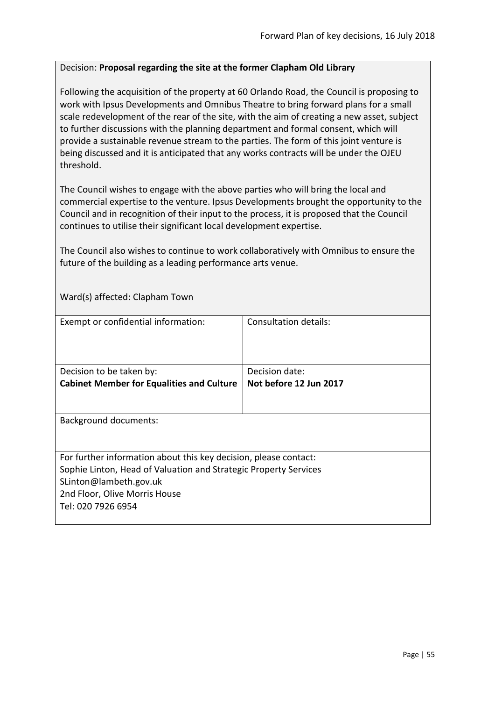#### <span id="page-54-0"></span>Decision: **Proposal regarding the site at the former Clapham Old Library**

Following the acquisition of the property at 60 Orlando Road, the Council is proposing to work with Ipsus Developments and Omnibus Theatre to bring forward plans for a small scale redevelopment of the rear of the site, with the aim of creating a new asset, subject to further discussions with the planning department and formal consent, which will provide a sustainable revenue stream to the parties. The form of this joint venture is being discussed and it is anticipated that any works contracts will be under the OJEU threshold.

The Council wishes to engage with the above parties who will bring the local and commercial expertise to the venture. Ipsus Developments brought the opportunity to the Council and in recognition of their input to the process, it is proposed that the Council continues to utilise their significant local development expertise.

The Council also wishes to continue to work collaboratively with Omnibus to ensure the future of the building as a leading performance arts venue.

Ward(s) affected: Clapham Town

| Exempt or confidential information:                              | Consultation details:  |
|------------------------------------------------------------------|------------------------|
|                                                                  |                        |
| Decision to be taken by:                                         | Decision date:         |
| <b>Cabinet Member for Equalities and Culture</b>                 | Not before 12 Jun 2017 |
|                                                                  |                        |
| <b>Background documents:</b>                                     |                        |
| For further information about this key decision, please contact: |                        |
| Sophie Linton, Head of Valuation and Strategic Property Services |                        |
| SLinton@lambeth.gov.uk                                           |                        |
| 2nd Floor, Olive Morris House                                    |                        |
| Tel: 020 7926 6954                                               |                        |
|                                                                  |                        |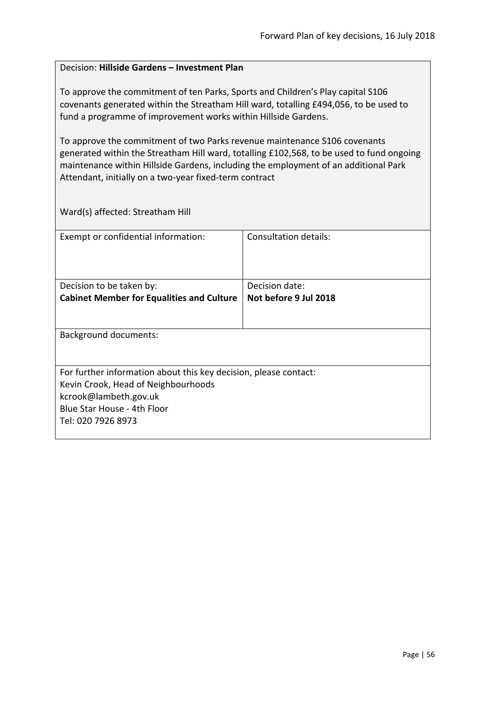#### <span id="page-55-0"></span>Decision: **Hillside Gardens – Investment Plan**

To approve the commitment of ten Parks, Sports and Children's Play capital S106 covenants generated within the Streatham Hill ward, totalling £494,056, to be used to fund a programme of improvement works within Hillside Gardens.

To approve the commitment of two Parks revenue maintenance S106 covenants generated within the Streatham Hill ward, totalling £102,568, to be used to fund ongoing maintenance within Hillside Gardens, including the employment of an additional Park Attendant, initially on a two-year fixed-term contract

Ward(s) affected: Streatham Hill

| Exempt or confidential information:                              | Consultation details: |
|------------------------------------------------------------------|-----------------------|
| Decision to be taken by:                                         | Decision date:        |
| <b>Cabinet Member for Equalities and Culture</b>                 | Not before 9 Jul 2018 |
|                                                                  |                       |
| <b>Background documents:</b>                                     |                       |
| For further information about this key decision, please contact: |                       |
| Kevin Crook, Head of Neighbourhoods                              |                       |
| kcrook@lambeth.gov.uk                                            |                       |
| Blue Star House - 4th Floor                                      |                       |
| Tel: 020 7926 8973                                               |                       |
|                                                                  |                       |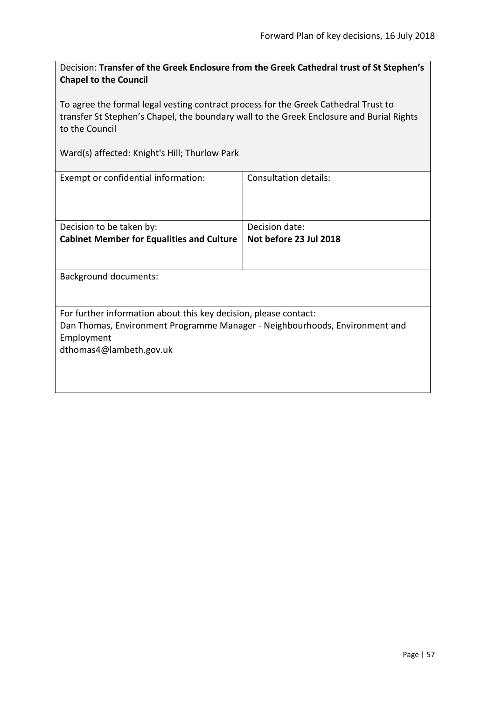<span id="page-56-0"></span>Decision: **Transfer of the Greek Enclosure from the Greek Cathedral trust of St Stephen's Chapel to the Council**

To agree the formal legal vesting contract process for the Greek Cathedral Trust to transfer St Stephen's Chapel, the boundary wall to the Greek Enclosure and Burial Rights to the Council

Ward(s) affected: Knight's Hill; Thurlow Park

| Exempt or confidential information:                                         | Consultation details:  |  |
|-----------------------------------------------------------------------------|------------------------|--|
|                                                                             |                        |  |
| Decision to be taken by:                                                    | Decision date:         |  |
| <b>Cabinet Member for Equalities and Culture</b>                            | Not before 23 Jul 2018 |  |
|                                                                             |                        |  |
| Background documents:                                                       |                        |  |
| For further information about this key decision, please contact:            |                        |  |
| Dan Thomas, Environment Programme Manager - Neighbourhoods, Environment and |                        |  |
| Employment                                                                  |                        |  |
| dthomas4@lambeth.gov.uk                                                     |                        |  |
|                                                                             |                        |  |
|                                                                             |                        |  |
|                                                                             |                        |  |
|                                                                             |                        |  |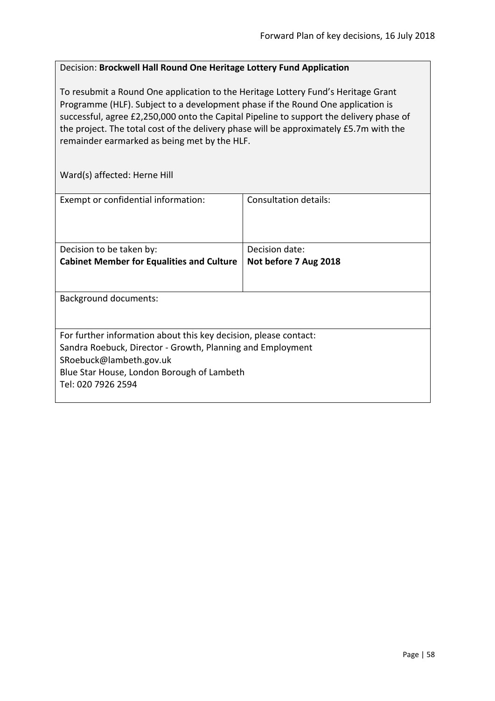#### <span id="page-57-0"></span>Decision: **Brockwell Hall Round One Heritage Lottery Fund Application**

To resubmit a Round One application to the Heritage Lottery Fund's Heritage Grant Programme (HLF). Subject to a development phase if the Round One application is successful, agree £2,250,000 onto the Capital Pipeline to support the delivery phase of the project. The total cost of the delivery phase will be approximately £5.7m with the remainder earmarked as being met by the HLF.

Ward(s) affected: Herne Hill

| Exempt or confidential information:                                                                                                                                                                                           | Consultation details:                   |
|-------------------------------------------------------------------------------------------------------------------------------------------------------------------------------------------------------------------------------|-----------------------------------------|
| Decision to be taken by:<br><b>Cabinet Member for Equalities and Culture</b>                                                                                                                                                  | Decision date:<br>Not before 7 Aug 2018 |
| <b>Background documents:</b>                                                                                                                                                                                                  |                                         |
| For further information about this key decision, please contact:<br>Sandra Roebuck, Director - Growth, Planning and Employment<br>SRoebuck@lambeth.gov.uk<br>Blue Star House, London Borough of Lambeth<br>Tel: 020 7926 2594 |                                         |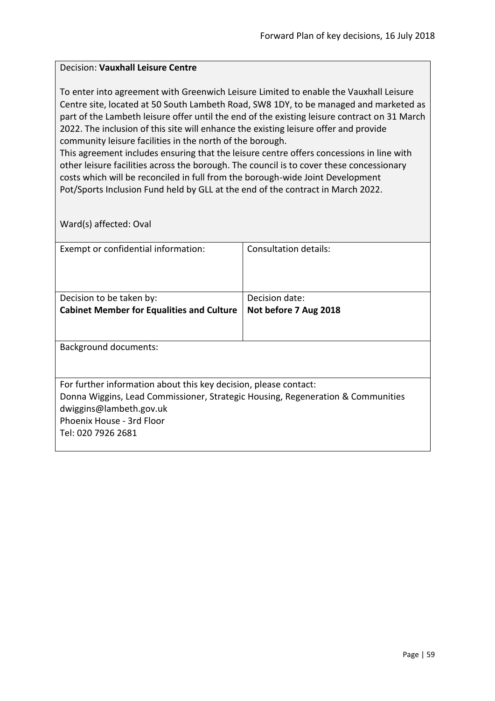#### <span id="page-58-0"></span>Decision: **Vauxhall Leisure Centre**

To enter into agreement with Greenwich Leisure Limited to enable the Vauxhall Leisure Centre site, located at 50 South Lambeth Road, SW8 1DY, to be managed and marketed as part of the Lambeth leisure offer until the end of the existing leisure contract on 31 March 2022. The inclusion of this site will enhance the existing leisure offer and provide community leisure facilities in the north of the borough.

This agreement includes ensuring that the leisure centre offers concessions in line with other leisure facilities across the borough. The council is to cover these concessionary costs which will be reconciled in full from the borough-wide Joint Development Pot/Sports Inclusion Fund held by GLL at the end of the contract in March 2022.

Ward(s) affected: Oval

| Exempt or confidential information:                                             | Consultation details: |
|---------------------------------------------------------------------------------|-----------------------|
|                                                                                 |                       |
| Decision to be taken by:                                                        | Decision date:        |
| <b>Cabinet Member for Equalities and Culture</b>                                | Not before 7 Aug 2018 |
|                                                                                 |                       |
| Background documents:                                                           |                       |
| For further information about this key decision, please contact:                |                       |
| Donna Wiggins, Lead Commissioner, Strategic Housing, Regeneration & Communities |                       |
| dwiggins@lambeth.gov.uk                                                         |                       |
| Phoenix House - 3rd Floor                                                       |                       |
| Tel: 020 7926 2681                                                              |                       |
|                                                                                 |                       |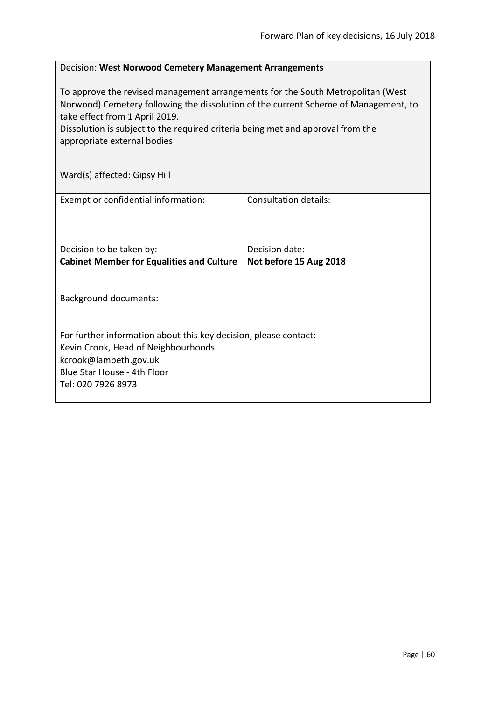#### <span id="page-59-0"></span>Decision: **West Norwood Cemetery Management Arrangements**

To approve the revised management arrangements for the South Metropolitan (West Norwood) Cemetery following the dissolution of the current Scheme of Management, to take effect from 1 April 2019.

Dissolution is subject to the required criteria being met and approval from the appropriate external bodies

Ward(s) affected: Gipsy Hill

| Exempt or confidential information:                                                                                                                                                   | Consultation details:                    |  |
|---------------------------------------------------------------------------------------------------------------------------------------------------------------------------------------|------------------------------------------|--|
| Decision to be taken by:<br><b>Cabinet Member for Equalities and Culture</b>                                                                                                          | Decision date:<br>Not before 15 Aug 2018 |  |
| <b>Background documents:</b>                                                                                                                                                          |                                          |  |
| For further information about this key decision, please contact:<br>Kevin Crook, Head of Neighbourhoods<br>kcrook@lambeth.gov.uk<br>Blue Star House - 4th Floor<br>Tel: 020 7926 8973 |                                          |  |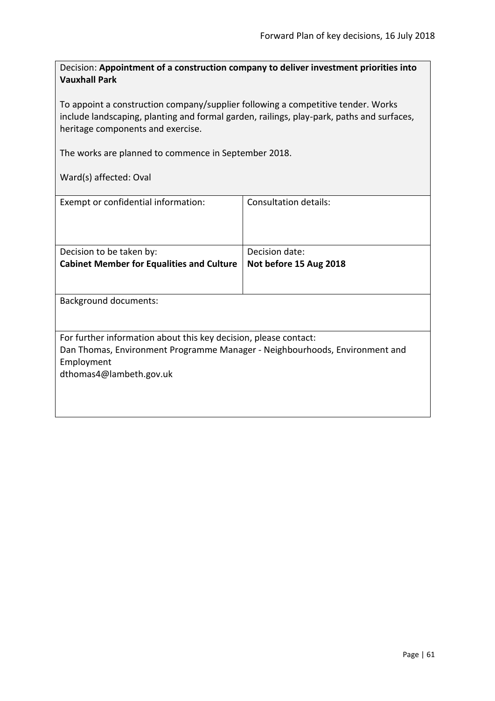<span id="page-60-0"></span>Decision: **Appointment of a construction company to deliver investment priorities into Vauxhall Park**

To appoint a construction company/supplier following a competitive tender. Works include landscaping, planting and formal garden, railings, play-park, paths and surfaces, heritage components and exercise.

The works are planned to commence in September 2018.

Ward(s) affected: Oval

| Exempt or confidential information:                                         | Consultation details:  |  |
|-----------------------------------------------------------------------------|------------------------|--|
| Decision to be taken by:                                                    | Decision date:         |  |
| <b>Cabinet Member for Equalities and Culture</b>                            | Not before 15 Aug 2018 |  |
|                                                                             |                        |  |
| Background documents:                                                       |                        |  |
|                                                                             |                        |  |
| For further information about this key decision, please contact:            |                        |  |
| Dan Thomas, Environment Programme Manager - Neighbourhoods, Environment and |                        |  |
| Employment                                                                  |                        |  |
| dthomas4@lambeth.gov.uk                                                     |                        |  |
|                                                                             |                        |  |
|                                                                             |                        |  |
|                                                                             |                        |  |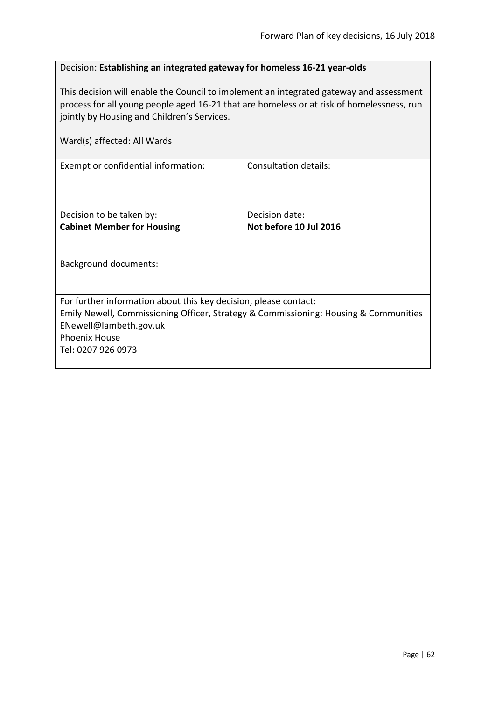#### <span id="page-61-0"></span>Decision: **Establishing an integrated gateway for homeless 16-21 year-olds**

This decision will enable the Council to implement an integrated gateway and assessment process for all young people aged 16-21 that are homeless or at risk of homelessness, run jointly by Housing and Children's Services.

| Ward(s) affected: All Wards                                                                                                                                                                                                      |                                          |
|----------------------------------------------------------------------------------------------------------------------------------------------------------------------------------------------------------------------------------|------------------------------------------|
| Exempt or confidential information:                                                                                                                                                                                              | Consultation details:                    |
| Decision to be taken by:<br><b>Cabinet Member for Housing</b>                                                                                                                                                                    | Decision date:<br>Not before 10 Jul 2016 |
| <b>Background documents:</b>                                                                                                                                                                                                     |                                          |
| For further information about this key decision, please contact:<br>Emily Newell, Commissioning Officer, Strategy & Commissioning: Housing & Communities<br>ENewell@lambeth.gov.uk<br><b>Phoenix House</b><br>Tel: 0207 926 0973 |                                          |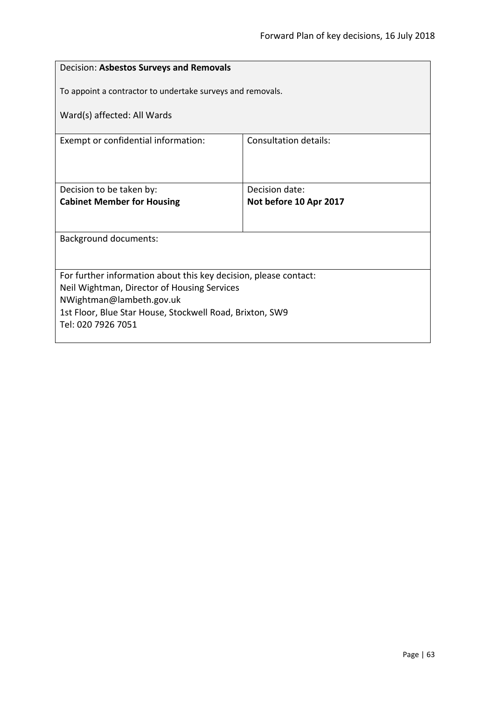<span id="page-62-0"></span>

| Decision: Asbestos Surveys and Removals                                 |                        |  |
|-------------------------------------------------------------------------|------------------------|--|
| To appoint a contractor to undertake surveys and removals.              |                        |  |
| Ward(s) affected: All Wards                                             |                        |  |
| Exempt or confidential information:                                     | Consultation details:  |  |
|                                                                         |                        |  |
| Decision to be taken by:                                                | Decision date:         |  |
| <b>Cabinet Member for Housing</b>                                       | Not before 10 Apr 2017 |  |
|                                                                         |                        |  |
| <b>Background documents:</b>                                            |                        |  |
|                                                                         |                        |  |
| For further information about this key decision, please contact:        |                        |  |
| Neil Wightman, Director of Housing Services<br>NWightman@lambeth.gov.uk |                        |  |
| 1st Floor, Blue Star House, Stockwell Road, Brixton, SW9                |                        |  |
| Tel: 020 7926 7051                                                      |                        |  |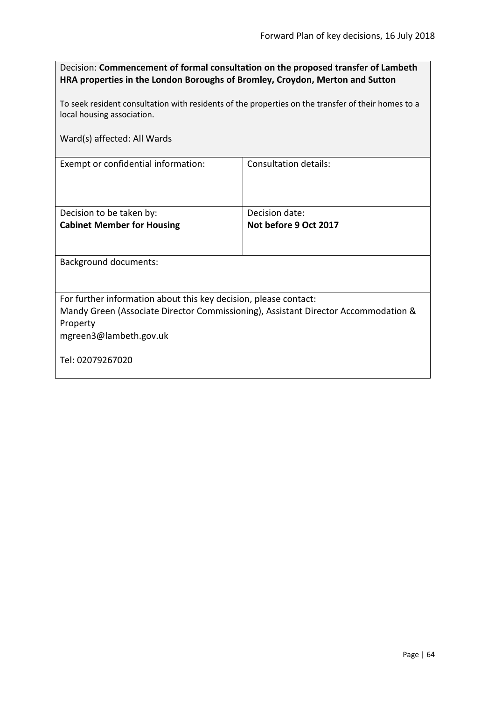<span id="page-63-0"></span>

| Decision: Commencement of formal consultation on the proposed transfer of Lambeth |
|-----------------------------------------------------------------------------------|
| HRA properties in the London Boroughs of Bromley, Croydon, Merton and Sutton      |

To seek resident consultation with residents of the properties on the transfer of their homes to a local housing association.

Ward(s) affected: All Wards

Exempt or confidential information: Consultation details:

| Decision to be taken by:          | Decision date:        |
|-----------------------------------|-----------------------|
| <b>Cabinet Member for Housing</b> | Not before 9 Oct 2017 |
|                                   |                       |
|                                   |                       |

Background documents:

For further information about this key decision, please contact:

Mandy Green (Associate Director Commissioning), Assistant Director Accommodation & Property

mgreen3@lambeth.gov.uk

Tel: 02079267020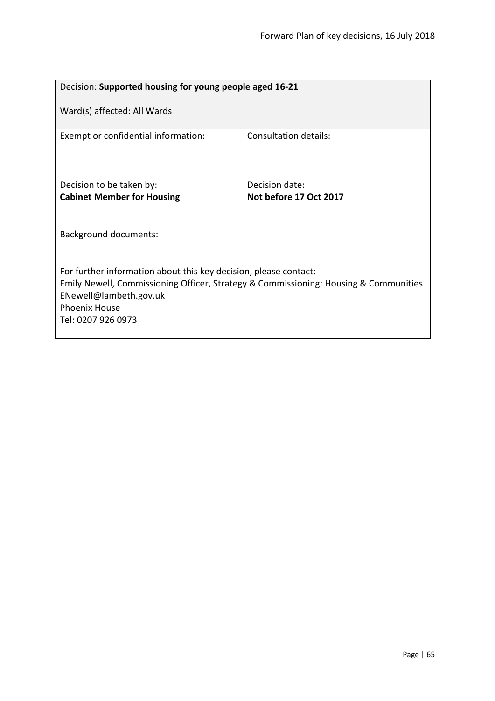<span id="page-64-0"></span>

| Decision: Supported housing for young people aged 16-21                              |                        |  |
|--------------------------------------------------------------------------------------|------------------------|--|
| Ward(s) affected: All Wards                                                          |                        |  |
| Exempt or confidential information:                                                  | Consultation details:  |  |
| Decision to be taken by:                                                             | Decision date:         |  |
| <b>Cabinet Member for Housing</b>                                                    | Not before 17 Oct 2017 |  |
|                                                                                      |                        |  |
| <b>Background documents:</b>                                                         |                        |  |
| For further information about this key decision, please contact:                     |                        |  |
| Emily Newell, Commissioning Officer, Strategy & Commissioning: Housing & Communities |                        |  |
| ENewell@lambeth.gov.uk                                                               |                        |  |
| <b>Phoenix House</b>                                                                 |                        |  |
| Tel: 0207 926 0973                                                                   |                        |  |
|                                                                                      |                        |  |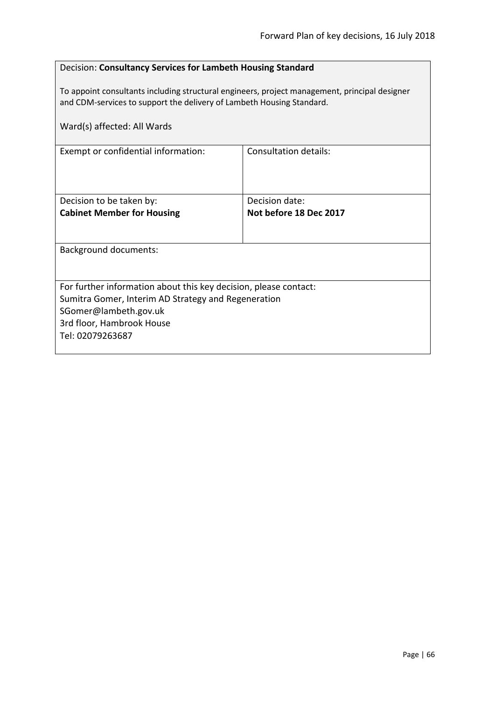#### <span id="page-65-0"></span>Decision: **Consultancy Services for Lambeth Housing Standard**

To appoint consultants including structural engineers, project management, principal designer and CDM-services to support the delivery of Lambeth Housing Standard.

| Ward(s) affected: All Wards                                      |                        |  |
|------------------------------------------------------------------|------------------------|--|
| Exempt or confidential information:                              | Consultation details:  |  |
| Decision to be taken by:                                         | Decision date:         |  |
| <b>Cabinet Member for Housing</b>                                | Not before 18 Dec 2017 |  |
| Background documents:                                            |                        |  |
| For further information about this key decision, please contact: |                        |  |
| Sumitra Gomer, Interim AD Strategy and Regeneration              |                        |  |
| SGomer@lambeth.gov.uk<br>3rd floor, Hambrook House               |                        |  |
| Tel: 02079263687                                                 |                        |  |
|                                                                  |                        |  |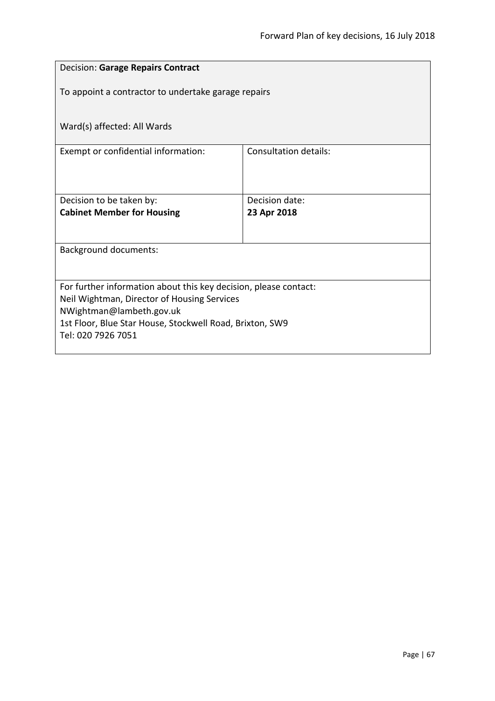<span id="page-66-0"></span>

| <b>Decision: Garage Repairs Contract</b>                                             |                       |  |
|--------------------------------------------------------------------------------------|-----------------------|--|
| To appoint a contractor to undertake garage repairs                                  |                       |  |
|                                                                                      |                       |  |
| Ward(s) affected: All Wards                                                          |                       |  |
| Exempt or confidential information:                                                  | Consultation details: |  |
|                                                                                      |                       |  |
| Decision to be taken by:                                                             | Decision date:        |  |
| <b>Cabinet Member for Housing</b>                                                    | 23 Apr 2018           |  |
|                                                                                      |                       |  |
| <b>Background documents:</b>                                                         |                       |  |
| For further information about this key decision, please contact:                     |                       |  |
| Neil Wightman, Director of Housing Services                                          |                       |  |
| NWightman@lambeth.gov.uk<br>1st Floor, Blue Star House, Stockwell Road, Brixton, SW9 |                       |  |
| Tel: 020 7926 7051                                                                   |                       |  |